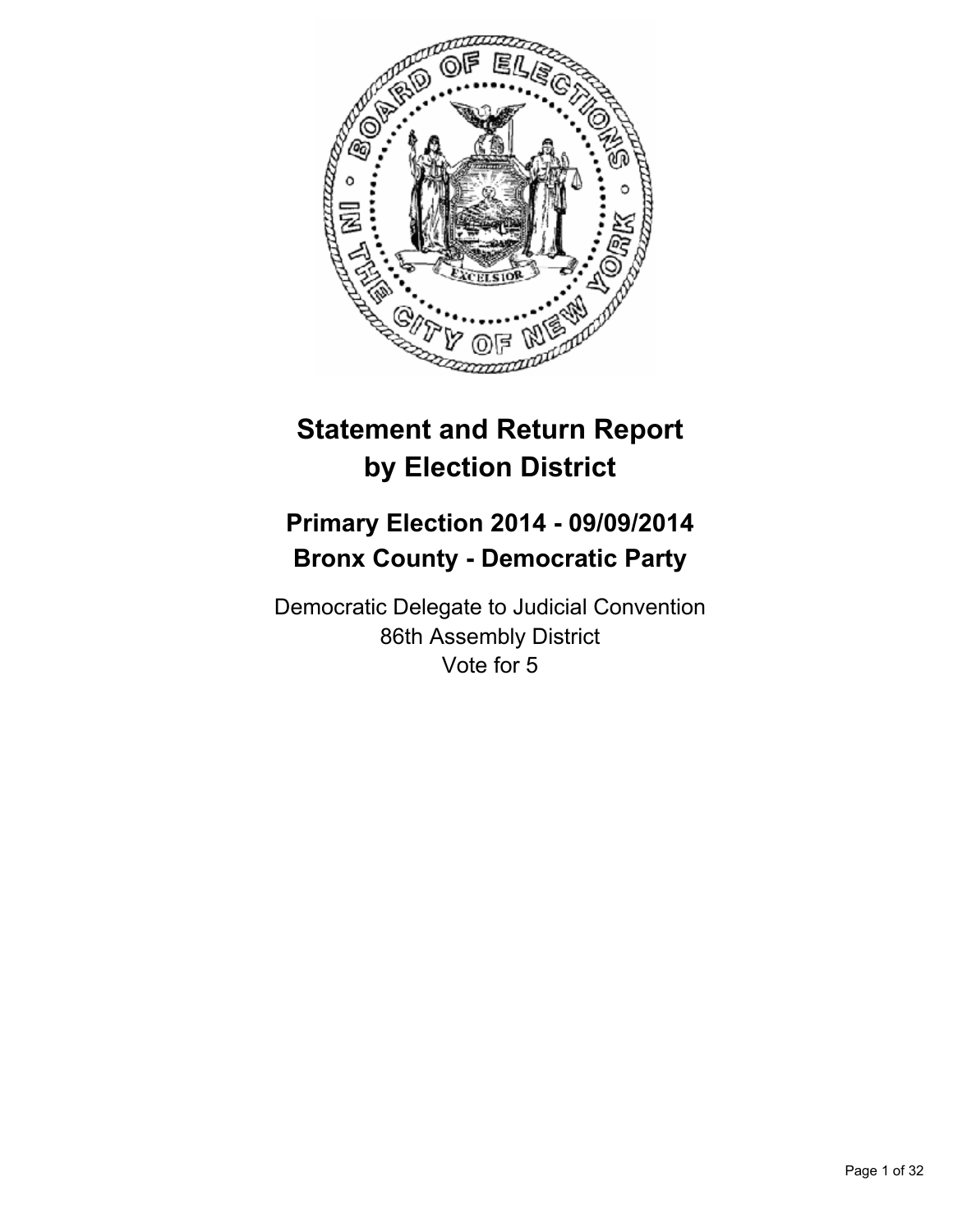

# **Statement and Return Report by Election District**

# **Primary Election 2014 - 09/09/2014 Bronx County - Democratic Party**

Democratic Delegate to Judicial Convention 86th Assembly District Vote for 5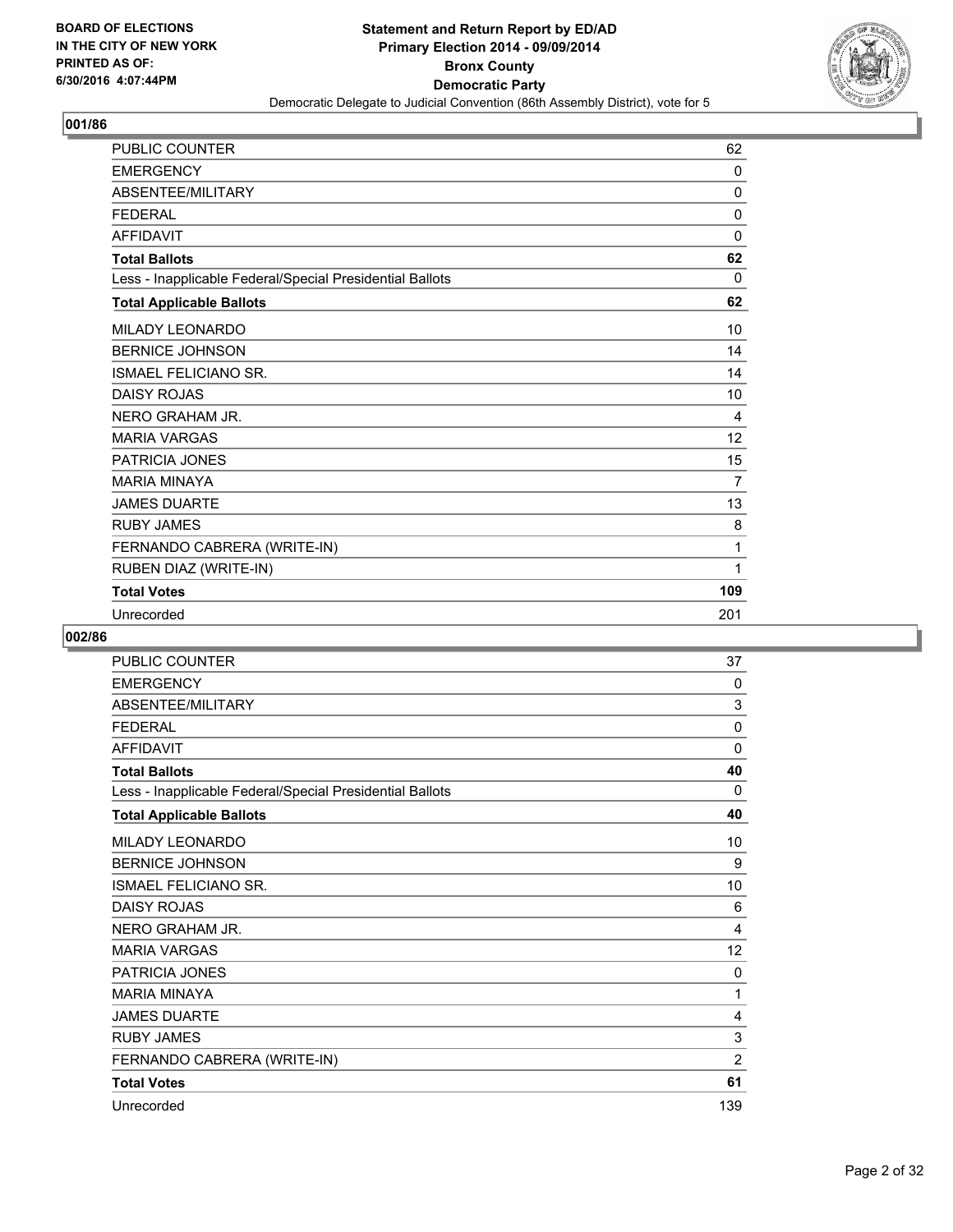

| <b>PUBLIC COUNTER</b>                                    | 62           |
|----------------------------------------------------------|--------------|
| <b>EMERGENCY</b>                                         | $\mathbf{0}$ |
| <b>ABSENTEE/MILITARY</b>                                 | 0            |
| <b>FEDERAL</b>                                           | 0            |
| <b>AFFIDAVIT</b>                                         | $\mathbf{0}$ |
| <b>Total Ballots</b>                                     | 62           |
| Less - Inapplicable Federal/Special Presidential Ballots | 0            |
| <b>Total Applicable Ballots</b>                          | 62           |
| <b>MILADY LEONARDO</b>                                   | 10           |
| <b>BERNICE JOHNSON</b>                                   | 14           |
| <b>ISMAEL FELICIANO SR.</b>                              | 14           |
| <b>DAISY ROJAS</b>                                       | 10           |
| NERO GRAHAM JR.                                          | 4            |
| <b>MARIA VARGAS</b>                                      | 12           |
| PATRICIA JONES                                           | 15           |
| <b>MARIA MINAYA</b>                                      | 7            |
| <b>JAMES DUARTE</b>                                      | 13           |
| <b>RUBY JAMES</b>                                        | 8            |
| FERNANDO CABRERA (WRITE-IN)                              | 1            |
| RUBEN DIAZ (WRITE-IN)                                    | 1            |
| <b>Total Votes</b>                                       | 109          |
| Unrecorded                                               | 201          |

| <b>PUBLIC COUNTER</b>                                    | 37             |
|----------------------------------------------------------|----------------|
| <b>EMERGENCY</b>                                         | 0              |
| <b>ABSENTEE/MILITARY</b>                                 | 3              |
| <b>FFDFRAL</b>                                           | 0              |
| <b>AFFIDAVIT</b>                                         | 0              |
| <b>Total Ballots</b>                                     | 40             |
| Less - Inapplicable Federal/Special Presidential Ballots | 0              |
| <b>Total Applicable Ballots</b>                          | 40             |
| MILADY LEONARDO                                          | 10             |
| <b>BERNICE JOHNSON</b>                                   | 9              |
| <b>ISMAEL FELICIANO SR.</b>                              | 10             |
| DAISY ROJAS                                              | 6              |
| NERO GRAHAM JR.                                          | 4              |
| <b>MARIA VARGAS</b>                                      | 12             |
| PATRICIA JONES                                           | 0              |
| <b>MARIA MINAYA</b>                                      | 1              |
| <b>JAMES DUARTE</b>                                      | 4              |
| <b>RUBY JAMES</b>                                        | 3              |
| FERNANDO CABRERA (WRITE-IN)                              | $\overline{2}$ |
| <b>Total Votes</b>                                       | 61             |
| Unrecorded                                               | 139            |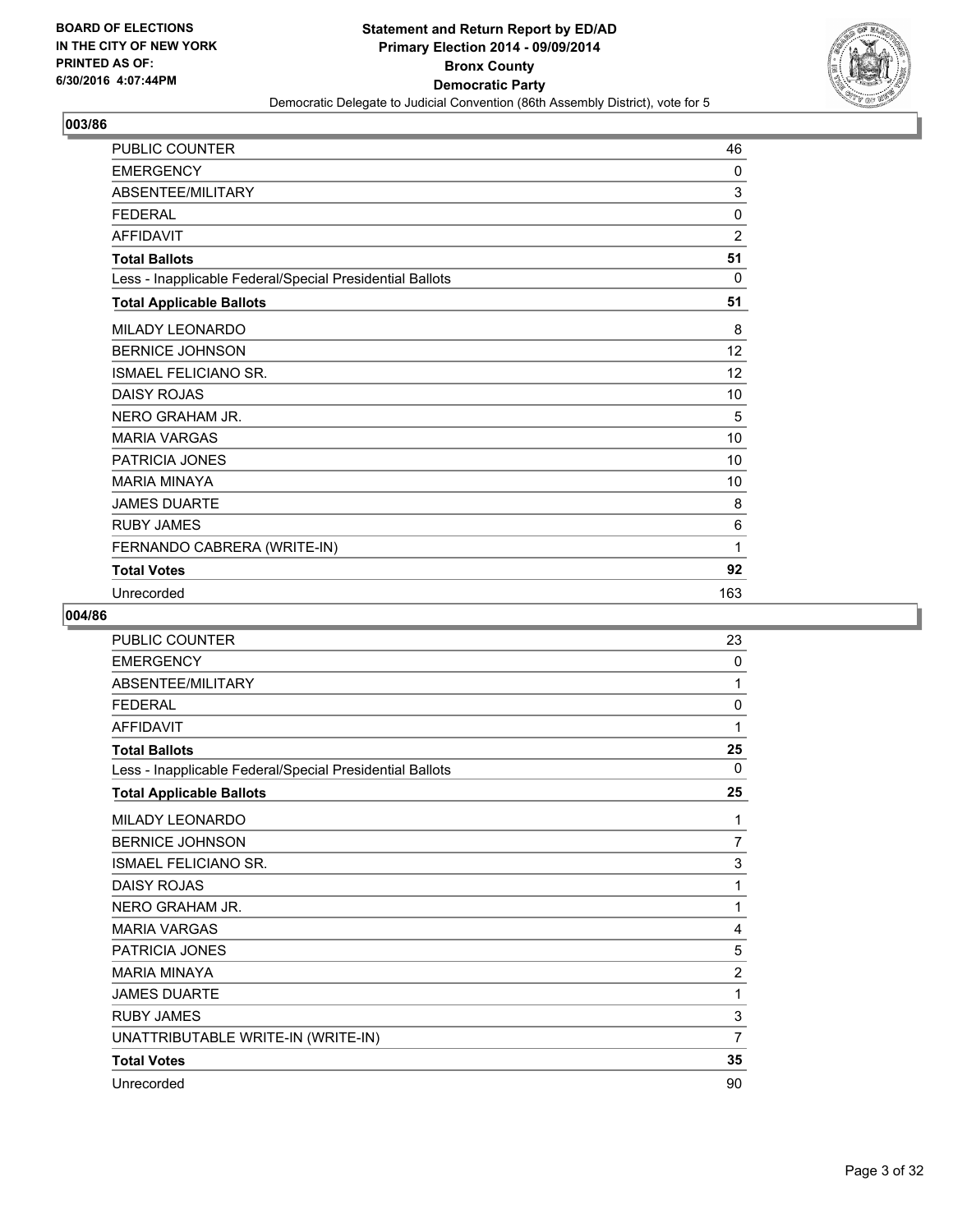

| PUBLIC COUNTER                                           | 46             |
|----------------------------------------------------------|----------------|
| <b>EMERGENCY</b>                                         | 0              |
| ABSENTEE/MILITARY                                        | 3              |
| <b>FEDERAL</b>                                           | $\mathbf{0}$   |
| <b>AFFIDAVIT</b>                                         | $\overline{2}$ |
| <b>Total Ballots</b>                                     | 51             |
| Less - Inapplicable Federal/Special Presidential Ballots | 0              |
| <b>Total Applicable Ballots</b>                          | 51             |
| MILADY LEONARDO                                          | 8              |
| <b>BERNICE JOHNSON</b>                                   | 12             |
| <b>ISMAEL FELICIANO SR.</b>                              | 12             |
| <b>DAISY ROJAS</b>                                       | 10             |
| NERO GRAHAM JR.                                          | 5              |
| <b>MARIA VARGAS</b>                                      | 10             |
| PATRICIA JONES                                           | 10             |
| <b>MARIA MINAYA</b>                                      | 10             |
| <b>JAMES DUARTE</b>                                      | 8              |
| <b>RUBY JAMES</b>                                        | 6              |
| FERNANDO CABRERA (WRITE-IN)                              | 1              |
| <b>Total Votes</b>                                       | 92             |
| Unrecorded                                               | 163            |

| PUBLIC COUNTER                                           | 23             |
|----------------------------------------------------------|----------------|
| <b>EMERGENCY</b>                                         | 0              |
| ABSENTEE/MILITARY                                        | 1              |
| <b>FEDERAL</b>                                           | 0              |
| <b>AFFIDAVIT</b>                                         | 1              |
| <b>Total Ballots</b>                                     | 25             |
| Less - Inapplicable Federal/Special Presidential Ballots | 0              |
| <b>Total Applicable Ballots</b>                          | 25             |
| MILADY LEONARDO                                          | 1              |
| <b>BERNICE JOHNSON</b>                                   | $\overline{7}$ |
| <b>ISMAEL FELICIANO SR.</b>                              | 3              |
| <b>DAISY ROJAS</b>                                       | 1              |
| NERO GRAHAM JR.                                          | 1              |
| <b>MARIA VARGAS</b>                                      | 4              |
| <b>PATRICIA JONES</b>                                    | 5              |
| <b>MARIA MINAYA</b>                                      | $\overline{2}$ |
| <b>JAMES DUARTE</b>                                      | 1              |
| <b>RUBY JAMES</b>                                        | $\mathsf 3$    |
| UNATTRIBUTABLE WRITE-IN (WRITE-IN)                       | 7              |
| <b>Total Votes</b>                                       | 35             |
| Unrecorded                                               | 90             |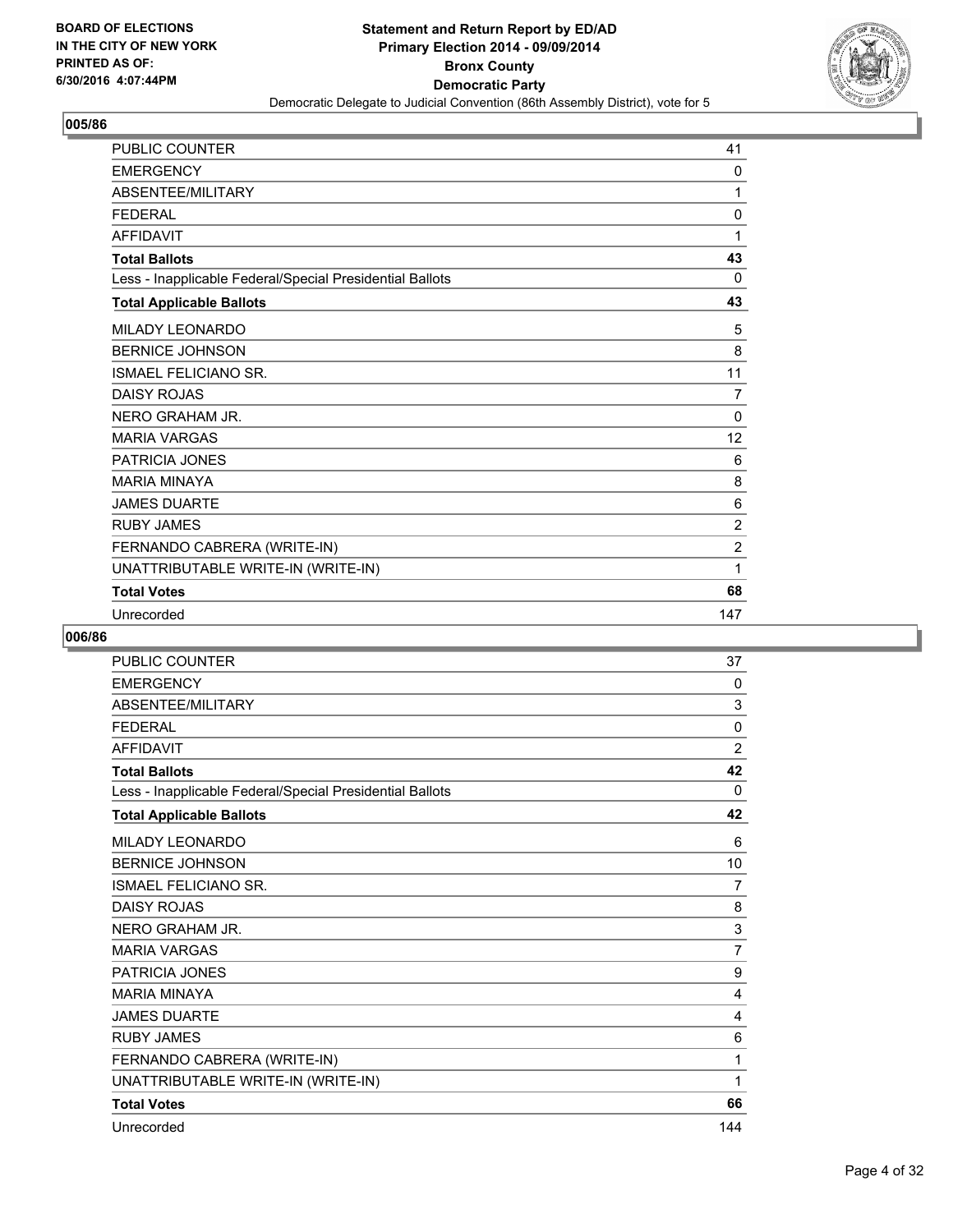

| <b>PUBLIC COUNTER</b>                                    | 41             |
|----------------------------------------------------------|----------------|
| <b>EMERGENCY</b>                                         | 0              |
| <b>ABSENTEE/MILITARY</b>                                 | 1              |
| <b>FEDERAL</b>                                           | $\mathbf 0$    |
| <b>AFFIDAVIT</b>                                         | 1              |
| <b>Total Ballots</b>                                     | 43             |
| Less - Inapplicable Federal/Special Presidential Ballots | 0              |
| <b>Total Applicable Ballots</b>                          | 43             |
| <b>MILADY LEONARDO</b>                                   | 5              |
| <b>BERNICE JOHNSON</b>                                   | 8              |
| ISMAEL FELICIANO SR.                                     | 11             |
| <b>DAISY ROJAS</b>                                       | 7              |
| NERO GRAHAM JR.                                          | 0              |
| <b>MARIA VARGAS</b>                                      | 12             |
| PATRICIA JONES                                           | 6              |
| <b>MARIA MINAYA</b>                                      | 8              |
| <b>JAMES DUARTE</b>                                      | 6              |
| <b>RUBY JAMES</b>                                        | $\overline{2}$ |
| FERNANDO CABRERA (WRITE-IN)                              | $\overline{2}$ |
| UNATTRIBUTABLE WRITE-IN (WRITE-IN)                       | 1              |
| <b>Total Votes</b>                                       | 68             |
| Unrecorded                                               | 147            |

| <b>PUBLIC COUNTER</b>                                    | 37             |
|----------------------------------------------------------|----------------|
| <b>EMERGENCY</b>                                         | 0              |
| ABSENTEE/MILITARY                                        | 3              |
| <b>FEDERAL</b>                                           | 0              |
| <b>AFFIDAVIT</b>                                         | $\overline{2}$ |
| <b>Total Ballots</b>                                     | 42             |
| Less - Inapplicable Federal/Special Presidential Ballots | 0              |
| <b>Total Applicable Ballots</b>                          | 42             |
| <b>MILADY LEONARDO</b>                                   | 6              |
| <b>BERNICE JOHNSON</b>                                   | 10             |
| <b>ISMAEL FELICIANO SR.</b>                              | 7              |
| <b>DAISY ROJAS</b>                                       | 8              |
| NERO GRAHAM JR.                                          | 3              |
| <b>MARIA VARGAS</b>                                      | $\overline{7}$ |
| PATRICIA JONES                                           | 9              |
| <b>MARIA MINAYA</b>                                      | 4              |
| <b>JAMES DUARTE</b>                                      | 4              |
| <b>RUBY JAMES</b>                                        | 6              |
| FERNANDO CABRERA (WRITE-IN)                              | 1              |
| UNATTRIBUTABLE WRITE-IN (WRITE-IN)                       | 1              |
| <b>Total Votes</b>                                       | 66             |
| Unrecorded                                               | 144            |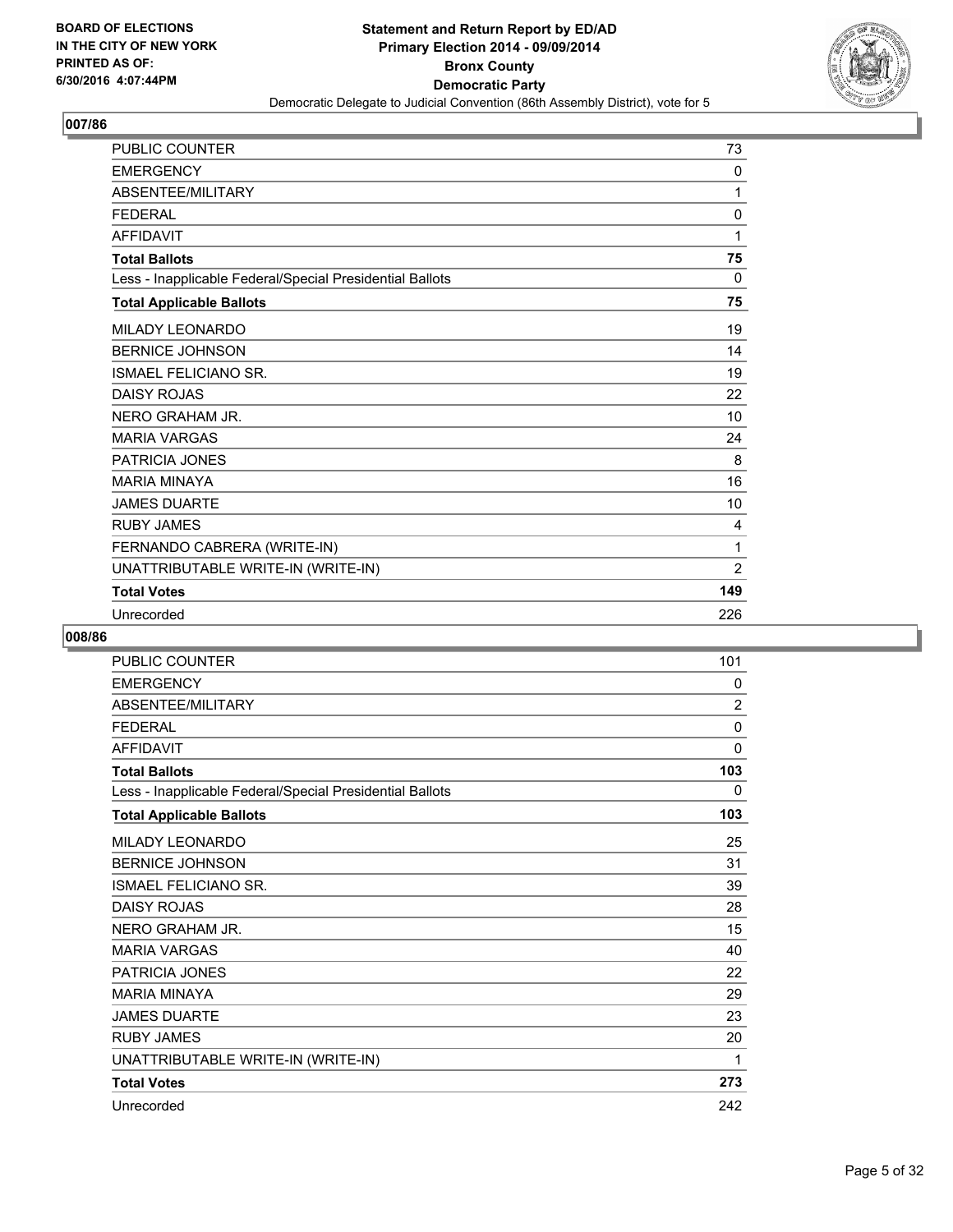

| <b>PUBLIC COUNTER</b>                                    | 73             |
|----------------------------------------------------------|----------------|
| <b>EMERGENCY</b>                                         | 0              |
| ABSENTEE/MILITARY                                        | 1              |
| <b>FEDERAL</b>                                           | $\mathbf 0$    |
| <b>AFFIDAVIT</b>                                         | 1              |
| <b>Total Ballots</b>                                     | 75             |
| Less - Inapplicable Federal/Special Presidential Ballots | 0              |
| <b>Total Applicable Ballots</b>                          | 75             |
| <b>MILADY LEONARDO</b>                                   | 19             |
| <b>BERNICE JOHNSON</b>                                   | 14             |
| <b>ISMAEL FELICIANO SR.</b>                              | 19             |
| <b>DAISY ROJAS</b>                                       | 22             |
| NERO GRAHAM JR.                                          | 10             |
| <b>MARIA VARGAS</b>                                      | 24             |
| PATRICIA JONES                                           | 8              |
| <b>MARIA MINAYA</b>                                      | 16             |
| <b>JAMES DUARTE</b>                                      | 10             |
| <b>RUBY JAMES</b>                                        | 4              |
| FERNANDO CABRERA (WRITE-IN)                              | 1              |
| UNATTRIBUTABLE WRITE-IN (WRITE-IN)                       | $\overline{2}$ |
| <b>Total Votes</b>                                       | 149            |
| Unrecorded                                               | 226            |

| <b>PUBLIC COUNTER</b>                                    | 101            |
|----------------------------------------------------------|----------------|
| <b>EMERGENCY</b>                                         | 0              |
| ABSENTEE/MILITARY                                        | $\overline{2}$ |
| <b>FEDERAL</b>                                           | 0              |
| <b>AFFIDAVIT</b>                                         | 0              |
| <b>Total Ballots</b>                                     | 103            |
| Less - Inapplicable Federal/Special Presidential Ballots | 0              |
| <b>Total Applicable Ballots</b>                          | 103            |
| MILADY LEONARDO                                          | 25             |
| <b>BERNICE JOHNSON</b>                                   | 31             |
| <b>ISMAEL FELICIANO SR.</b>                              | 39             |
| <b>DAISY ROJAS</b>                                       | 28             |
| NERO GRAHAM JR.                                          | 15             |
| <b>MARIA VARGAS</b>                                      | 40             |
| PATRICIA JONES                                           | 22             |
| <b>MARIA MINAYA</b>                                      | 29             |
| <b>JAMES DUARTE</b>                                      | 23             |
| <b>RUBY JAMES</b>                                        | 20             |
| UNATTRIBUTABLE WRITE-IN (WRITE-IN)                       | 1              |
| <b>Total Votes</b>                                       | 273            |
| Unrecorded                                               | 242            |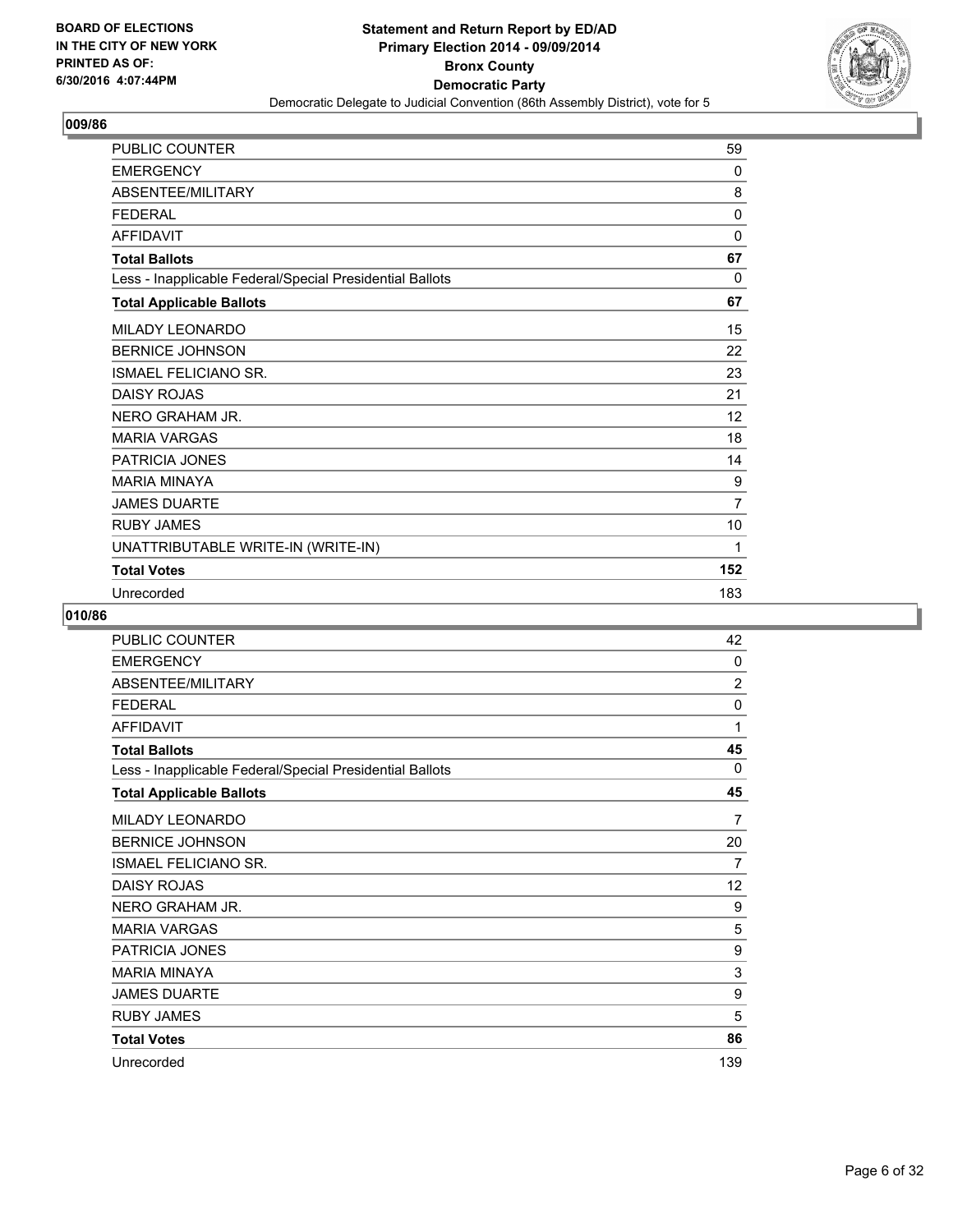

| PUBLIC COUNTER                                           | 59             |
|----------------------------------------------------------|----------------|
| <b>EMERGENCY</b>                                         | 0              |
| ABSENTEE/MILITARY                                        | 8              |
| <b>FEDERAL</b>                                           | $\mathbf{0}$   |
| <b>AFFIDAVIT</b>                                         | 0              |
| <b>Total Ballots</b>                                     | 67             |
| Less - Inapplicable Federal/Special Presidential Ballots | 0              |
| <b>Total Applicable Ballots</b>                          | 67             |
| MILADY LEONARDO                                          | 15             |
| <b>BERNICE JOHNSON</b>                                   | 22             |
| <b>ISMAEL FELICIANO SR.</b>                              | 23             |
| <b>DAISY ROJAS</b>                                       | 21             |
| NERO GRAHAM JR.                                          | 12             |
| <b>MARIA VARGAS</b>                                      | 18             |
| PATRICIA JONES                                           | 14             |
| <b>MARIA MINAYA</b>                                      | 9              |
| <b>JAMES DUARTE</b>                                      | $\overline{7}$ |
| <b>RUBY JAMES</b>                                        | 10             |
| UNATTRIBUTABLE WRITE-IN (WRITE-IN)                       | 1              |
| <b>Total Votes</b>                                       | 152            |
| Unrecorded                                               | 183            |

| PUBLIC COUNTER                                           | 42             |
|----------------------------------------------------------|----------------|
| <b>EMERGENCY</b>                                         | 0              |
| ABSENTEE/MILITARY                                        | $\overline{2}$ |
| <b>FEDERAL</b>                                           | 0              |
| <b>AFFIDAVIT</b>                                         | 1              |
| <b>Total Ballots</b>                                     | 45             |
| Less - Inapplicable Federal/Special Presidential Ballots | 0              |
| <b>Total Applicable Ballots</b>                          | 45             |
| <b>MILADY LEONARDO</b>                                   | 7              |
| <b>BERNICE JOHNSON</b>                                   | 20             |
| <b>ISMAEL FELICIANO SR.</b>                              | 7              |
| <b>DAISY ROJAS</b>                                       | 12             |
| NERO GRAHAM JR.                                          | 9              |
| <b>MARIA VARGAS</b>                                      | 5              |
| PATRICIA JONES                                           | 9              |
| <b>MARIA MINAYA</b>                                      | 3              |
| <b>JAMES DUARTE</b>                                      | 9              |
| <b>RUBY JAMES</b>                                        | 5              |
| <b>Total Votes</b>                                       | 86             |
| Unrecorded                                               | 139            |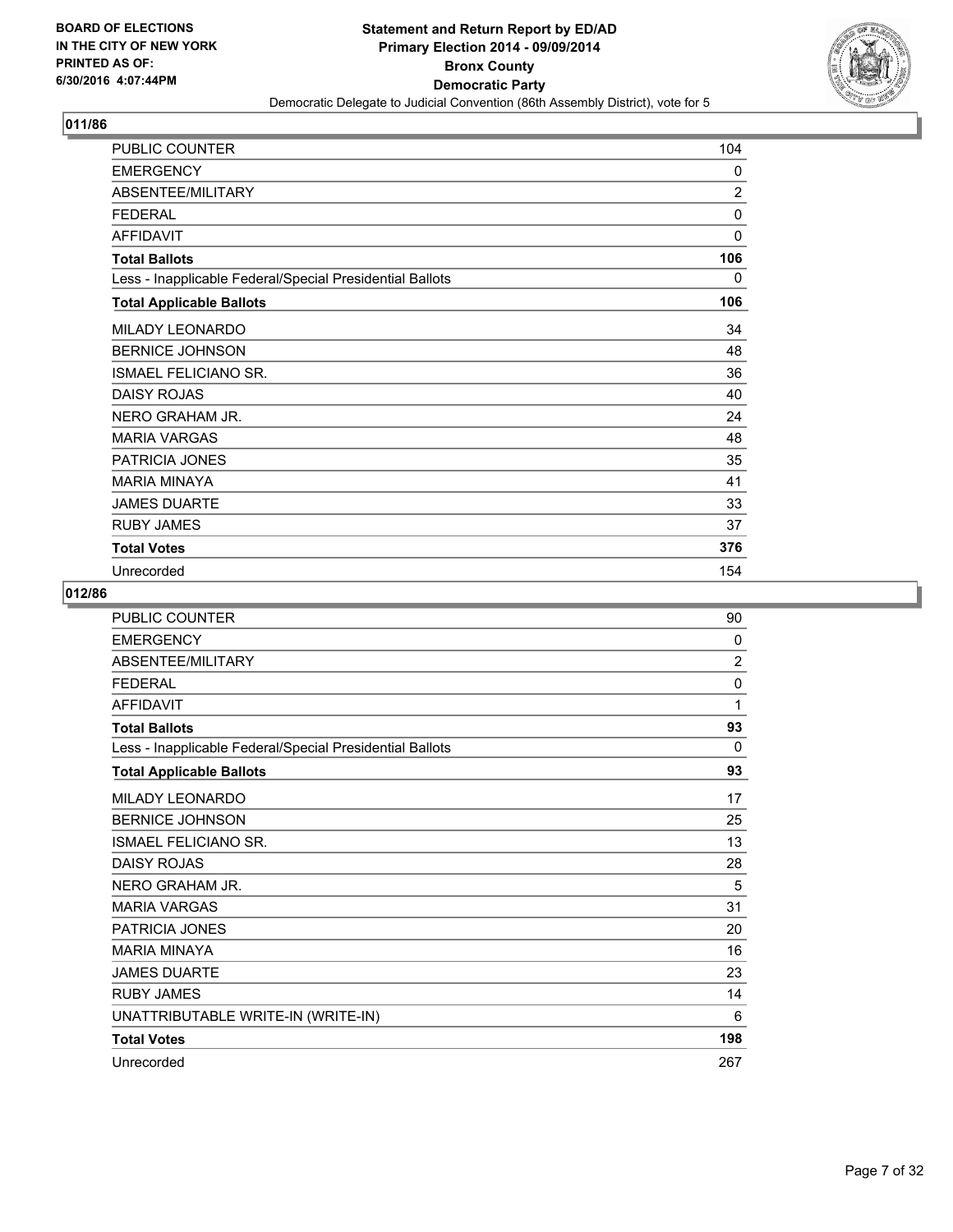

| PUBLIC COUNTER                                           | 104            |
|----------------------------------------------------------|----------------|
| <b>EMERGENCY</b>                                         | 0              |
| ABSENTEE/MILITARY                                        | $\overline{2}$ |
| <b>FEDERAL</b>                                           | $\Omega$       |
| <b>AFFIDAVIT</b>                                         | 0              |
| <b>Total Ballots</b>                                     | 106            |
| Less - Inapplicable Federal/Special Presidential Ballots | 0              |
| <b>Total Applicable Ballots</b>                          | 106            |
| MILADY LEONARDO                                          | 34             |
| <b>BERNICE JOHNSON</b>                                   | 48             |
| <b>ISMAEL FELICIANO SR.</b>                              | 36             |
| <b>DAISY ROJAS</b>                                       | 40             |
| NERO GRAHAM JR.                                          | 24             |
| <b>MARIA VARGAS</b>                                      | 48             |
| <b>PATRICIA JONES</b>                                    | 35             |
| <b>MARIA MINAYA</b>                                      | 41             |
| <b>JAMES DUARTE</b>                                      | 33             |
| <b>RUBY JAMES</b>                                        | 37             |
| <b>Total Votes</b>                                       | 376            |
| Unrecorded                                               | 154            |

| <b>PUBLIC COUNTER</b>                                    | 90             |
|----------------------------------------------------------|----------------|
| <b>EMERGENCY</b>                                         | $\mathbf{0}$   |
| ABSENTEE/MILITARY                                        | $\overline{2}$ |
| <b>FEDERAL</b>                                           | 0              |
| <b>AFFIDAVIT</b>                                         | 1              |
| <b>Total Ballots</b>                                     | 93             |
| Less - Inapplicable Federal/Special Presidential Ballots | $\mathbf{0}$   |
| <b>Total Applicable Ballots</b>                          | 93             |
| MILADY LEONARDO                                          | 17             |
| <b>BERNICE JOHNSON</b>                                   | 25             |
| <b>ISMAEL FELICIANO SR.</b>                              | 13             |
| <b>DAISY ROJAS</b>                                       | 28             |
| NERO GRAHAM JR.                                          | 5              |
| <b>MARIA VARGAS</b>                                      | 31             |
| PATRICIA JONES                                           | 20             |
| <b>MARIA MINAYA</b>                                      | 16             |
| <b>JAMES DUARTE</b>                                      | 23             |
| <b>RUBY JAMES</b>                                        | 14             |
| UNATTRIBUTABLE WRITE-IN (WRITE-IN)                       | 6              |
| <b>Total Votes</b>                                       | 198            |
| Unrecorded                                               | 267            |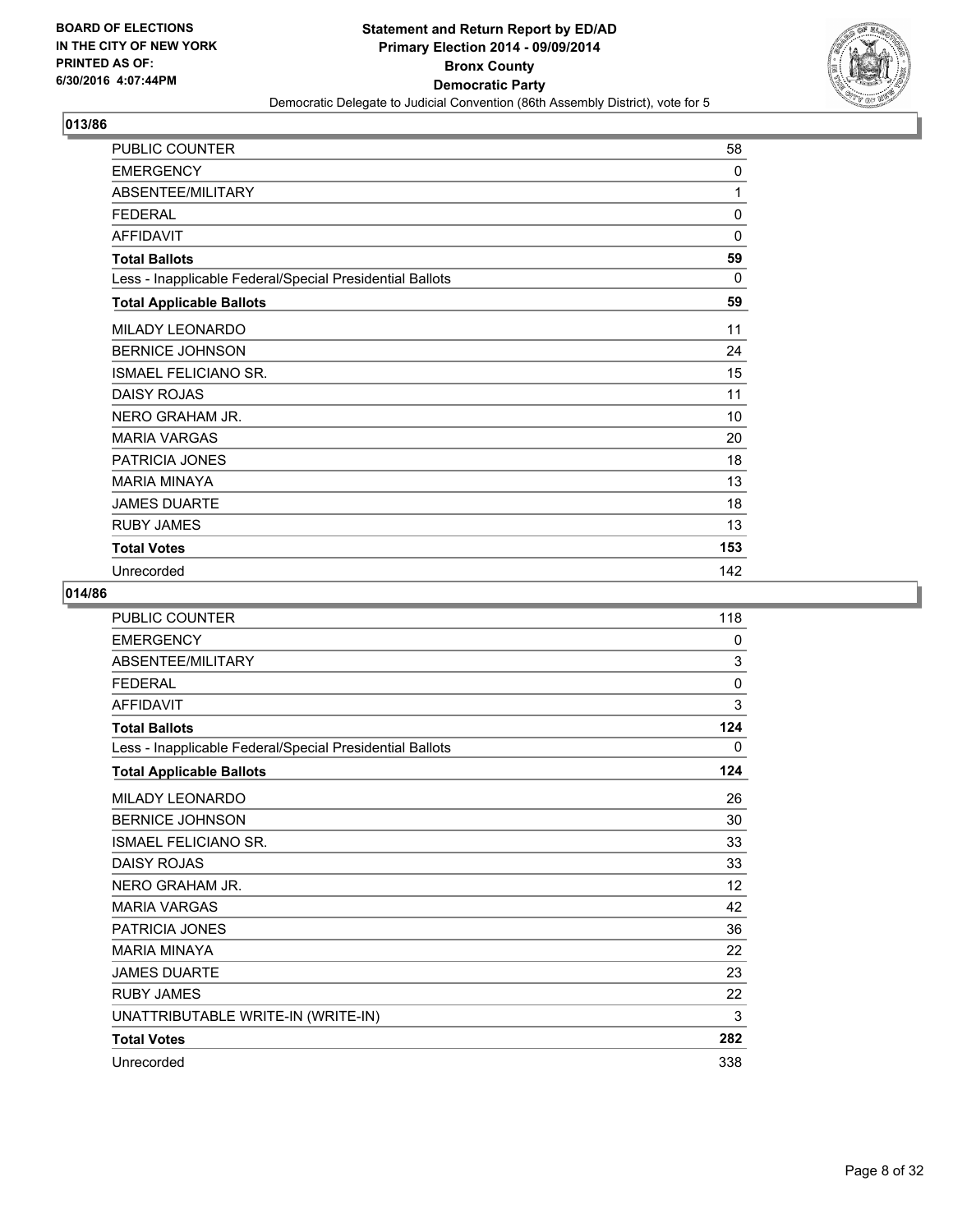

| PUBLIC COUNTER                                           | 58       |
|----------------------------------------------------------|----------|
| <b>EMERGENCY</b>                                         | 0        |
| ABSENTEE/MILITARY                                        | 1        |
| <b>FEDERAL</b>                                           | 0        |
| <b>AFFIDAVIT</b>                                         | 0        |
| <b>Total Ballots</b>                                     | 59       |
| Less - Inapplicable Federal/Special Presidential Ballots | $\Omega$ |
| <b>Total Applicable Ballots</b>                          | 59       |
| MILADY LEONARDO                                          | 11       |
| <b>BERNICE JOHNSON</b>                                   | 24       |
| <b>ISMAEL FELICIANO SR.</b>                              | 15       |
| <b>DAISY ROJAS</b>                                       | 11       |
| NERO GRAHAM JR.                                          | 10       |
| <b>MARIA VARGAS</b>                                      | 20       |
| PATRICIA JONES                                           | 18       |
| <b>MARIA MINAYA</b>                                      | 13       |
| <b>JAMES DUARTE</b>                                      | 18       |
| <b>RUBY JAMES</b>                                        | 13       |
| <b>Total Votes</b>                                       | 153      |
| Unrecorded                                               | 142      |

| PUBLIC COUNTER                                           | 118          |
|----------------------------------------------------------|--------------|
| <b>EMERGENCY</b>                                         | 0            |
| ABSENTEE/MILITARY                                        | 3            |
| <b>FEDERAL</b>                                           | $\mathbf{0}$ |
| <b>AFFIDAVIT</b>                                         | 3            |
| <b>Total Ballots</b>                                     | 124          |
| Less - Inapplicable Federal/Special Presidential Ballots | 0            |
| <b>Total Applicable Ballots</b>                          | 124          |
| MILADY LEONARDO                                          | 26           |
| <b>BERNICE JOHNSON</b>                                   | 30           |
| <b>ISMAEL FELICIANO SR.</b>                              | 33           |
| <b>DAISY ROJAS</b>                                       | 33           |
| NERO GRAHAM JR.                                          | 12           |
| <b>MARIA VARGAS</b>                                      | 42           |
| PATRICIA JONES                                           | 36           |
| <b>MARIA MINAYA</b>                                      | 22           |
| <b>JAMES DUARTE</b>                                      | 23           |
| <b>RUBY JAMES</b>                                        | 22           |
| UNATTRIBUTABLE WRITE-IN (WRITE-IN)                       | 3            |
| <b>Total Votes</b>                                       | 282          |
| Unrecorded                                               | 338          |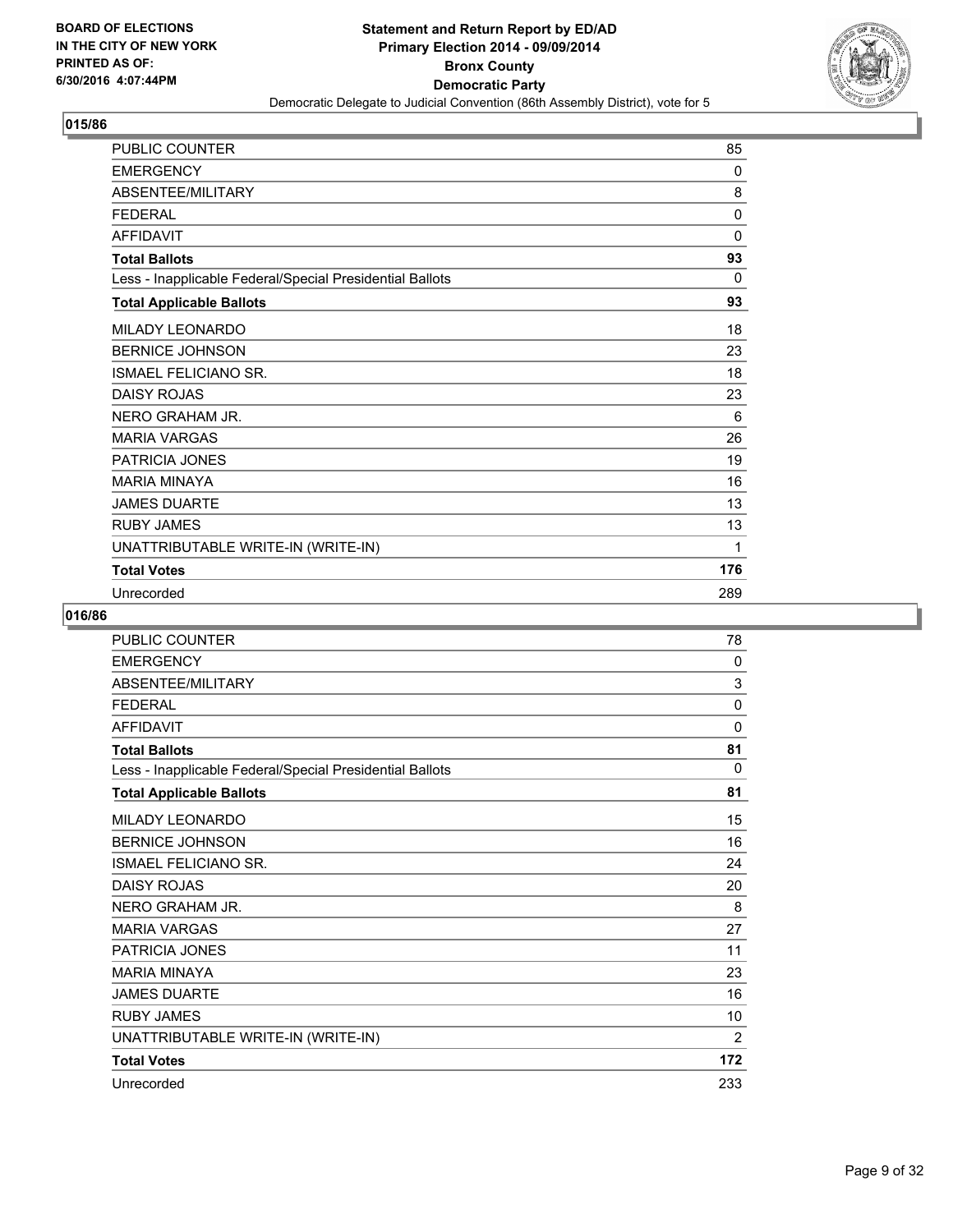

| PUBLIC COUNTER                                           | 85           |
|----------------------------------------------------------|--------------|
| <b>EMERGENCY</b>                                         | 0            |
| ABSENTEE/MILITARY                                        | 8            |
| <b>FEDERAL</b>                                           | $\mathbf{0}$ |
| <b>AFFIDAVIT</b>                                         | $\mathbf{0}$ |
| <b>Total Ballots</b>                                     | 93           |
| Less - Inapplicable Federal/Special Presidential Ballots | 0            |
| <b>Total Applicable Ballots</b>                          | 93           |
| MILADY LEONARDO                                          | 18           |
| <b>BERNICE JOHNSON</b>                                   | 23           |
| <b>ISMAEL FELICIANO SR.</b>                              | 18           |
| <b>DAISY ROJAS</b>                                       | 23           |
| NERO GRAHAM JR.                                          | 6            |
| <b>MARIA VARGAS</b>                                      | 26           |
| PATRICIA JONES                                           | 19           |
| <b>MARIA MINAYA</b>                                      | 16           |
| <b>JAMES DUARTE</b>                                      | 13           |
| <b>RUBY JAMES</b>                                        | 13           |
| UNATTRIBUTABLE WRITE-IN (WRITE-IN)                       | 1            |
| <b>Total Votes</b>                                       | 176          |
| Unrecorded                                               | 289          |

| <b>PUBLIC COUNTER</b>                                    | 78             |
|----------------------------------------------------------|----------------|
| <b>EMERGENCY</b>                                         | 0              |
| ABSENTEE/MILITARY                                        | 3              |
| <b>FFDFRAL</b>                                           | 0              |
| <b>AFFIDAVIT</b>                                         | 0              |
| <b>Total Ballots</b>                                     | 81             |
| Less - Inapplicable Federal/Special Presidential Ballots | 0              |
| <b>Total Applicable Ballots</b>                          | 81             |
| <b>MILADY LEONARDO</b>                                   | 15             |
| <b>BERNICE JOHNSON</b>                                   | 16             |
| <b>ISMAEL FELICIANO SR.</b>                              | 24             |
| <b>DAISY ROJAS</b>                                       | 20             |
| NERO GRAHAM JR.                                          | 8              |
| <b>MARIA VARGAS</b>                                      | 27             |
| <b>PATRICIA JONES</b>                                    | 11             |
| <b>MARIA MINAYA</b>                                      | 23             |
| <b>JAMES DUARTE</b>                                      | 16             |
| <b>RUBY JAMES</b>                                        | 10             |
| UNATTRIBUTABLE WRITE-IN (WRITE-IN)                       | $\overline{2}$ |
| <b>Total Votes</b>                                       | 172            |
| Unrecorded                                               | 233            |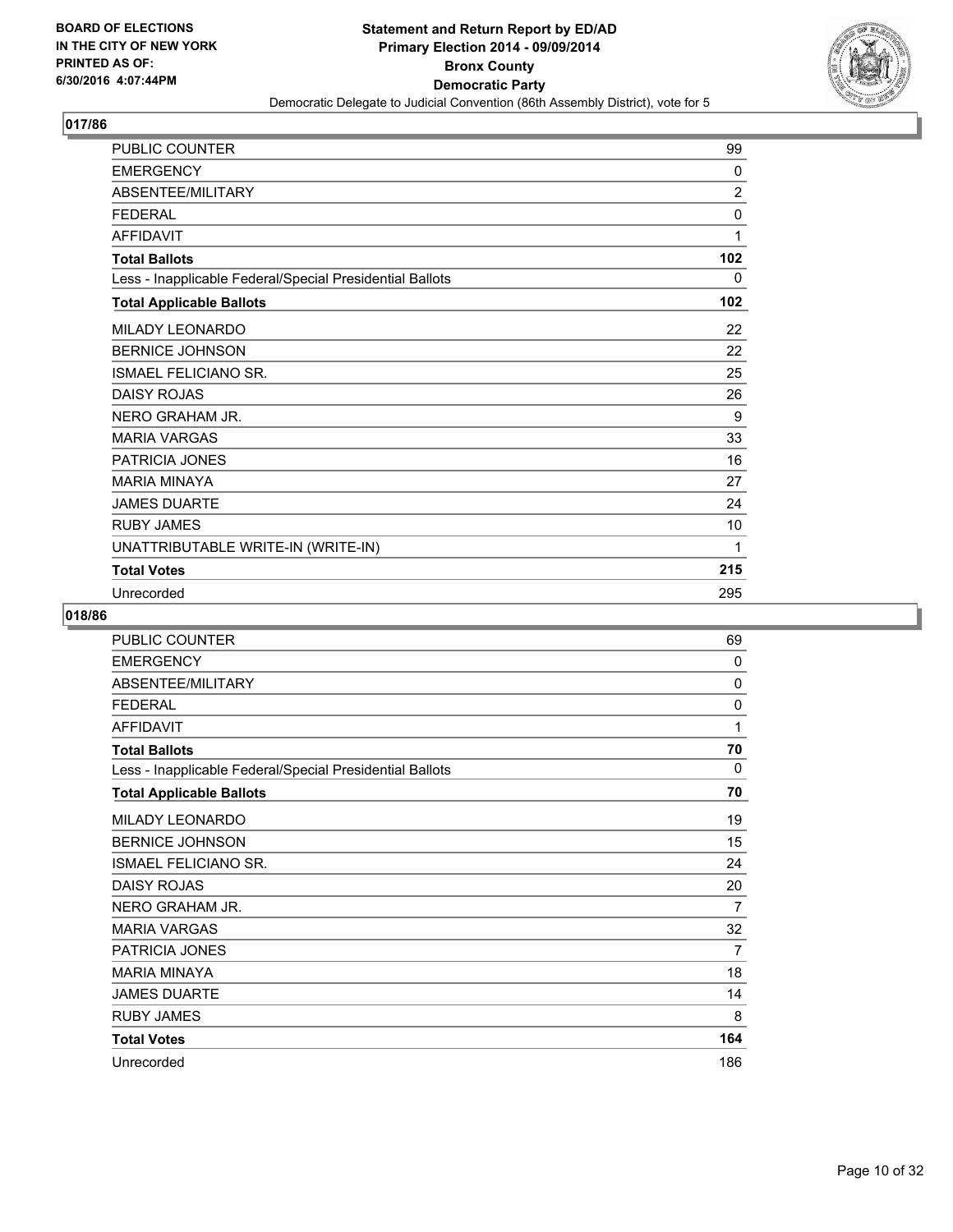

| PUBLIC COUNTER                                           | 99  |
|----------------------------------------------------------|-----|
| <b>EMERGENCY</b>                                         | 0   |
| ABSENTEE/MILITARY                                        | 2   |
| <b>FEDERAL</b>                                           | 0   |
| <b>AFFIDAVIT</b>                                         | 1   |
| <b>Total Ballots</b>                                     | 102 |
| Less - Inapplicable Federal/Special Presidential Ballots | 0   |
| <b>Total Applicable Ballots</b>                          | 102 |
| MILADY LEONARDO                                          | 22  |
| <b>BERNICE JOHNSON</b>                                   | 22  |
| <b>ISMAEL FELICIANO SR.</b>                              | 25  |
| <b>DAISY ROJAS</b>                                       | 26  |
| NERO GRAHAM JR.                                          | 9   |
| <b>MARIA VARGAS</b>                                      | 33  |
| PATRICIA JONES                                           | 16  |
| <b>MARIA MINAYA</b>                                      | 27  |
| <b>JAMES DUARTE</b>                                      | 24  |
| <b>RUBY JAMES</b>                                        | 10  |
| UNATTRIBUTABLE WRITE-IN (WRITE-IN)                       | 1   |
| <b>Total Votes</b>                                       | 215 |
| Unrecorded                                               | 295 |

| PUBLIC COUNTER                                           | 69             |
|----------------------------------------------------------|----------------|
| <b>EMERGENCY</b>                                         | 0              |
| ABSENTEE/MILITARY                                        | $\mathbf{0}$   |
| <b>FEDERAL</b>                                           | 0              |
| <b>AFFIDAVIT</b>                                         | 1              |
| <b>Total Ballots</b>                                     | 70             |
| Less - Inapplicable Federal/Special Presidential Ballots | 0              |
| <b>Total Applicable Ballots</b>                          | 70             |
| <b>MILADY LEONARDO</b>                                   | 19             |
| <b>BERNICE JOHNSON</b>                                   | 15             |
| <b>ISMAEL FELICIANO SR.</b>                              | 24             |
| <b>DAISY ROJAS</b>                                       | 20             |
| NERO GRAHAM JR.                                          | 7              |
| <b>MARIA VARGAS</b>                                      | 32             |
| PATRICIA JONES                                           | $\overline{7}$ |
| <b>MARIA MINAYA</b>                                      | 18             |
| <b>JAMES DUARTE</b>                                      | 14             |
| <b>RUBY JAMES</b>                                        | 8              |
| <b>Total Votes</b>                                       | 164            |
| Unrecorded                                               | 186            |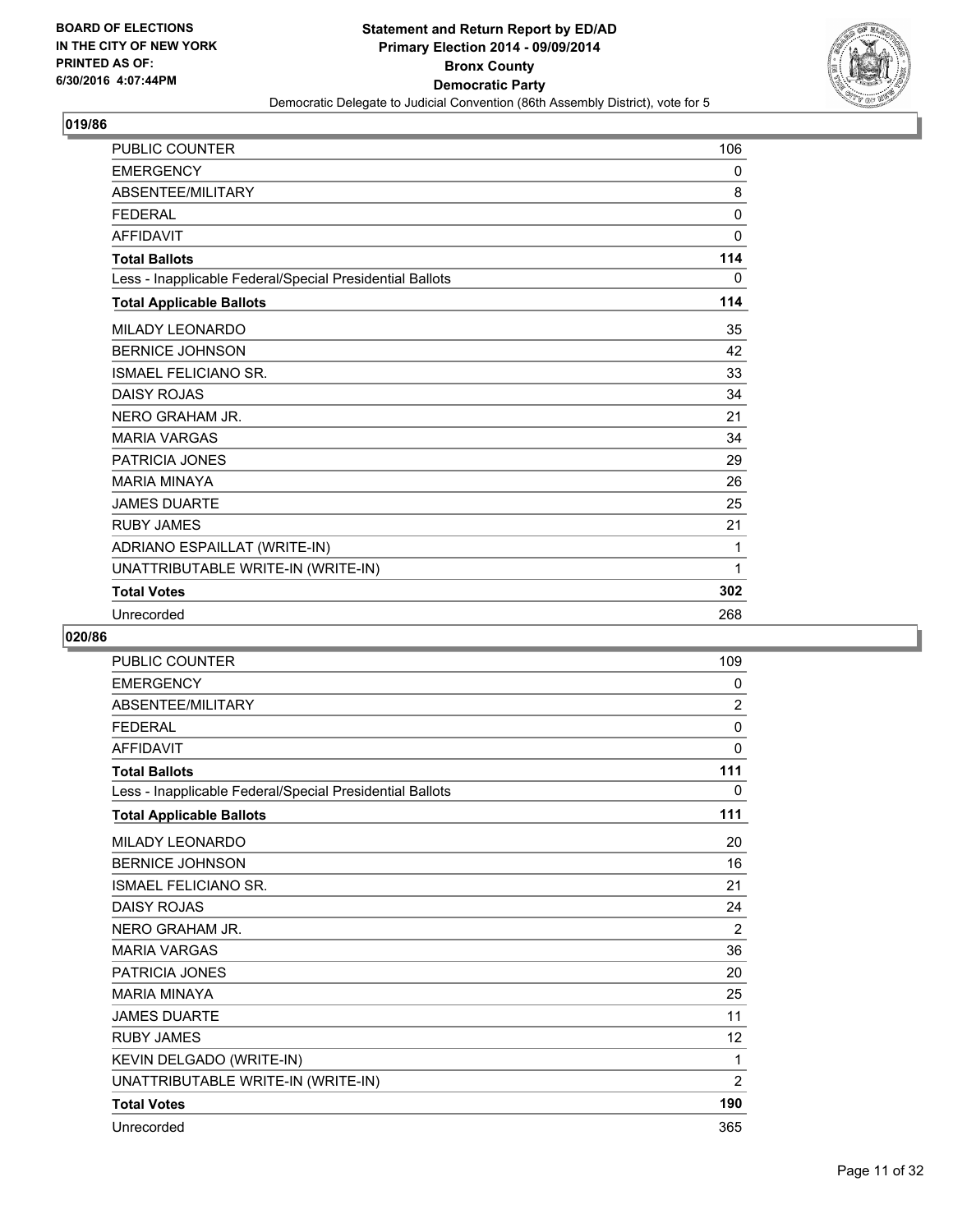

| <b>PUBLIC COUNTER</b>                                    | 106          |
|----------------------------------------------------------|--------------|
| <b>EMERGENCY</b>                                         | 0            |
| ABSENTEE/MILITARY                                        | 8            |
| <b>FEDERAL</b>                                           | $\Omega$     |
| <b>AFFIDAVIT</b>                                         | $\mathbf{0}$ |
| <b>Total Ballots</b>                                     | 114          |
| Less - Inapplicable Federal/Special Presidential Ballots | 0            |
| <b>Total Applicable Ballots</b>                          | 114          |
| <b>MILADY LEONARDO</b>                                   | 35           |
| <b>BERNICE JOHNSON</b>                                   | 42           |
| <b>ISMAEL FELICIANO SR.</b>                              | 33           |
| <b>DAISY ROJAS</b>                                       | 34           |
| NERO GRAHAM JR.                                          | 21           |
| <b>MARIA VARGAS</b>                                      | 34           |
| PATRICIA JONES                                           | 29           |
| <b>MARIA MINAYA</b>                                      | 26           |
| <b>JAMES DUARTE</b>                                      | 25           |
| <b>RUBY JAMES</b>                                        | 21           |
| ADRIANO ESPAILLAT (WRITE-IN)                             | 1            |
| UNATTRIBUTABLE WRITE-IN (WRITE-IN)                       | 1            |
| <b>Total Votes</b>                                       | 302          |
| Unrecorded                                               | 268          |

| <b>PUBLIC COUNTER</b>                                    | 109            |
|----------------------------------------------------------|----------------|
| <b>EMERGENCY</b>                                         | 0              |
| ABSENTEE/MILITARY                                        | $\overline{2}$ |
| <b>FEDERAL</b>                                           | 0              |
| <b>AFFIDAVIT</b>                                         | 0              |
| <b>Total Ballots</b>                                     | 111            |
| Less - Inapplicable Federal/Special Presidential Ballots | 0              |
| <b>Total Applicable Ballots</b>                          | 111            |
| <b>MILADY LEONARDO</b>                                   | 20             |
| <b>BERNICE JOHNSON</b>                                   | 16             |
| <b>ISMAEL FELICIANO SR.</b>                              | 21             |
| <b>DAISY ROJAS</b>                                       | 24             |
| NERO GRAHAM JR.                                          | 2              |
| <b>MARIA VARGAS</b>                                      | 36             |
| PATRICIA JONES                                           | 20             |
| <b>MARIA MINAYA</b>                                      | 25             |
| <b>JAMES DUARTE</b>                                      | 11             |
| <b>RUBY JAMES</b>                                        | 12             |
| KEVIN DELGADO (WRITE-IN)                                 | 1              |
| UNATTRIBUTABLE WRITE-IN (WRITE-IN)                       | 2              |
| <b>Total Votes</b>                                       | 190            |
| Unrecorded                                               | 365            |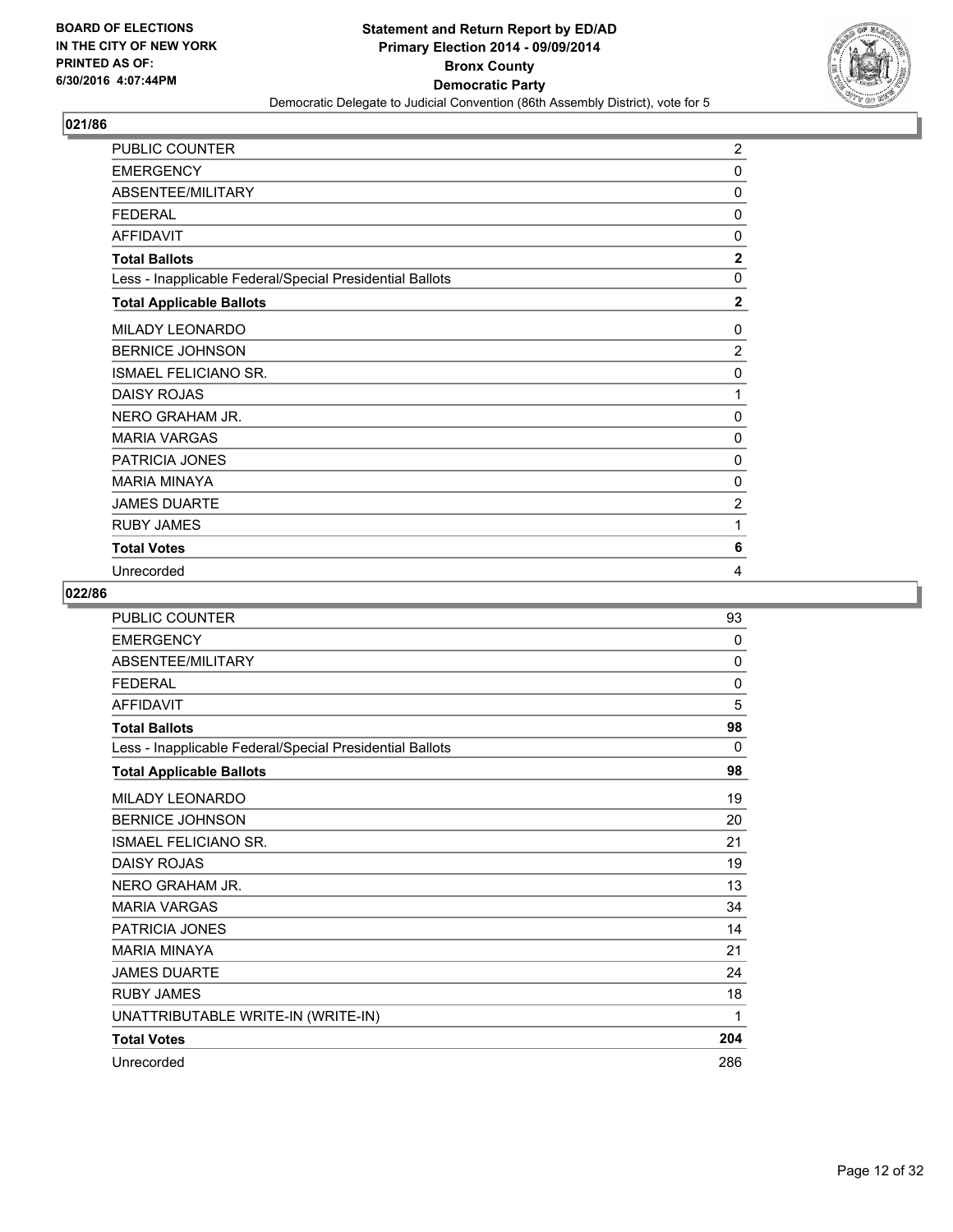

| PUBLIC COUNTER                                           | $\overline{2}$ |
|----------------------------------------------------------|----------------|
| <b>EMERGENCY</b>                                         | 0              |
| ABSENTEE/MILITARY                                        | 0              |
| <b>FEDERAL</b>                                           | 0              |
| <b>AFFIDAVIT</b>                                         | 0              |
| <b>Total Ballots</b>                                     | $\overline{2}$ |
| Less - Inapplicable Federal/Special Presidential Ballots | 0              |
| <b>Total Applicable Ballots</b>                          | $\overline{2}$ |
| MILADY LEONARDO                                          | 0              |
| <b>BERNICE JOHNSON</b>                                   | $\overline{2}$ |
| <b>ISMAEL FELICIANO SR.</b>                              | $\mathbf 0$    |
| <b>DAISY ROJAS</b>                                       | 1              |
| NERO GRAHAM JR.                                          | 0              |
| <b>MARIA VARGAS</b>                                      | $\Omega$       |
| PATRICIA JONES                                           | 0              |
| <b>MARIA MINAYA</b>                                      | 0              |
| <b>JAMES DUARTE</b>                                      | $\overline{2}$ |
| <b>RUBY JAMES</b>                                        | 1              |
| <b>Total Votes</b>                                       | 6              |
| Unrecorded                                               | 4              |

| <b>PUBLIC COUNTER</b>                                    | 93       |
|----------------------------------------------------------|----------|
| <b>EMERGENCY</b>                                         | $\Omega$ |
| ABSENTEE/MILITARY                                        | 0        |
| <b>FFDFRAI</b>                                           | 0        |
| <b>AFFIDAVIT</b>                                         | 5        |
| <b>Total Ballots</b>                                     | 98       |
| Less - Inapplicable Federal/Special Presidential Ballots | 0        |
| <b>Total Applicable Ballots</b>                          | 98       |
| MILADY LEONARDO                                          | 19       |
| <b>BERNICE JOHNSON</b>                                   | 20       |
| <b>ISMAEL FELICIANO SR.</b>                              | 21       |
| <b>DAISY ROJAS</b>                                       | 19       |
| NERO GRAHAM JR.                                          | 13       |
| <b>MARIA VARGAS</b>                                      | 34       |
| PATRICIA JONES                                           | 14       |
| <b>MARIA MINAYA</b>                                      | 21       |
| <b>JAMES DUARTE</b>                                      | 24       |
| <b>RUBY JAMES</b>                                        | 18       |
| UNATTRIBUTABLE WRITE-IN (WRITE-IN)                       | 1        |
| <b>Total Votes</b>                                       | 204      |
| Unrecorded                                               | 286      |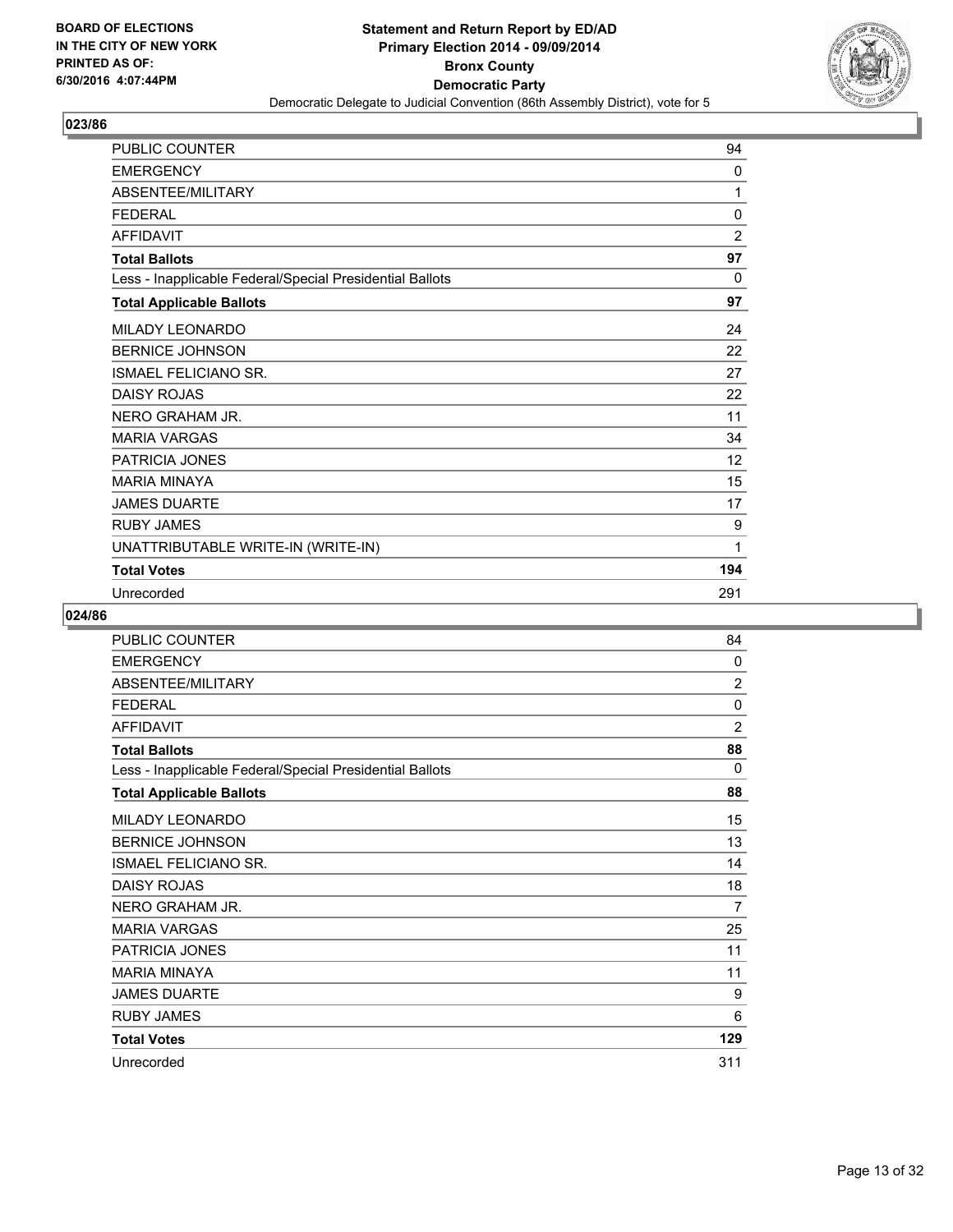

| PUBLIC COUNTER                                           | 94             |
|----------------------------------------------------------|----------------|
| <b>EMERGENCY</b>                                         | 0              |
| ABSENTEE/MILITARY                                        | 1              |
| <b>FEDERAL</b>                                           | 0              |
| <b>AFFIDAVIT</b>                                         | $\overline{2}$ |
| <b>Total Ballots</b>                                     | 97             |
| Less - Inapplicable Federal/Special Presidential Ballots | 0              |
| <b>Total Applicable Ballots</b>                          | 97             |
| <b>MILADY LEONARDO</b>                                   | 24             |
| <b>BERNICE JOHNSON</b>                                   | 22             |
| <b>ISMAEL FELICIANO SR.</b>                              | 27             |
| <b>DAISY ROJAS</b>                                       | 22             |
| NERO GRAHAM JR.                                          | 11             |
| <b>MARIA VARGAS</b>                                      | 34             |
| <b>PATRICIA JONES</b>                                    | 12             |
| <b>MARIA MINAYA</b>                                      | 15             |
| <b>JAMES DUARTE</b>                                      | 17             |
| <b>RUBY JAMES</b>                                        | 9              |
| UNATTRIBUTABLE WRITE-IN (WRITE-IN)                       | 1              |
| <b>Total Votes</b>                                       | 194            |
| Unrecorded                                               | 291            |

| PUBLIC COUNTER                                           | 84             |
|----------------------------------------------------------|----------------|
| <b>EMERGENCY</b>                                         | 0              |
| ABSENTEE/MILITARY                                        | $\overline{2}$ |
| <b>FEDERAL</b>                                           | 0              |
| <b>AFFIDAVIT</b>                                         | $\overline{2}$ |
| <b>Total Ballots</b>                                     | 88             |
| Less - Inapplicable Federal/Special Presidential Ballots | 0              |
| <b>Total Applicable Ballots</b>                          | 88             |
| <b>MILADY LEONARDO</b>                                   | 15             |
| <b>BERNICE JOHNSON</b>                                   | 13             |
| <b>ISMAEL FELICIANO SR.</b>                              | 14             |
| <b>DAISY ROJAS</b>                                       | 18             |
| NERO GRAHAM JR.                                          | 7              |
| <b>MARIA VARGAS</b>                                      | 25             |
| PATRICIA JONES                                           | 11             |
| <b>MARIA MINAYA</b>                                      | 11             |
| <b>JAMES DUARTE</b>                                      | 9              |
| <b>RUBY JAMES</b>                                        | 6              |
| <b>Total Votes</b>                                       | 129            |
| Unrecorded                                               | 311            |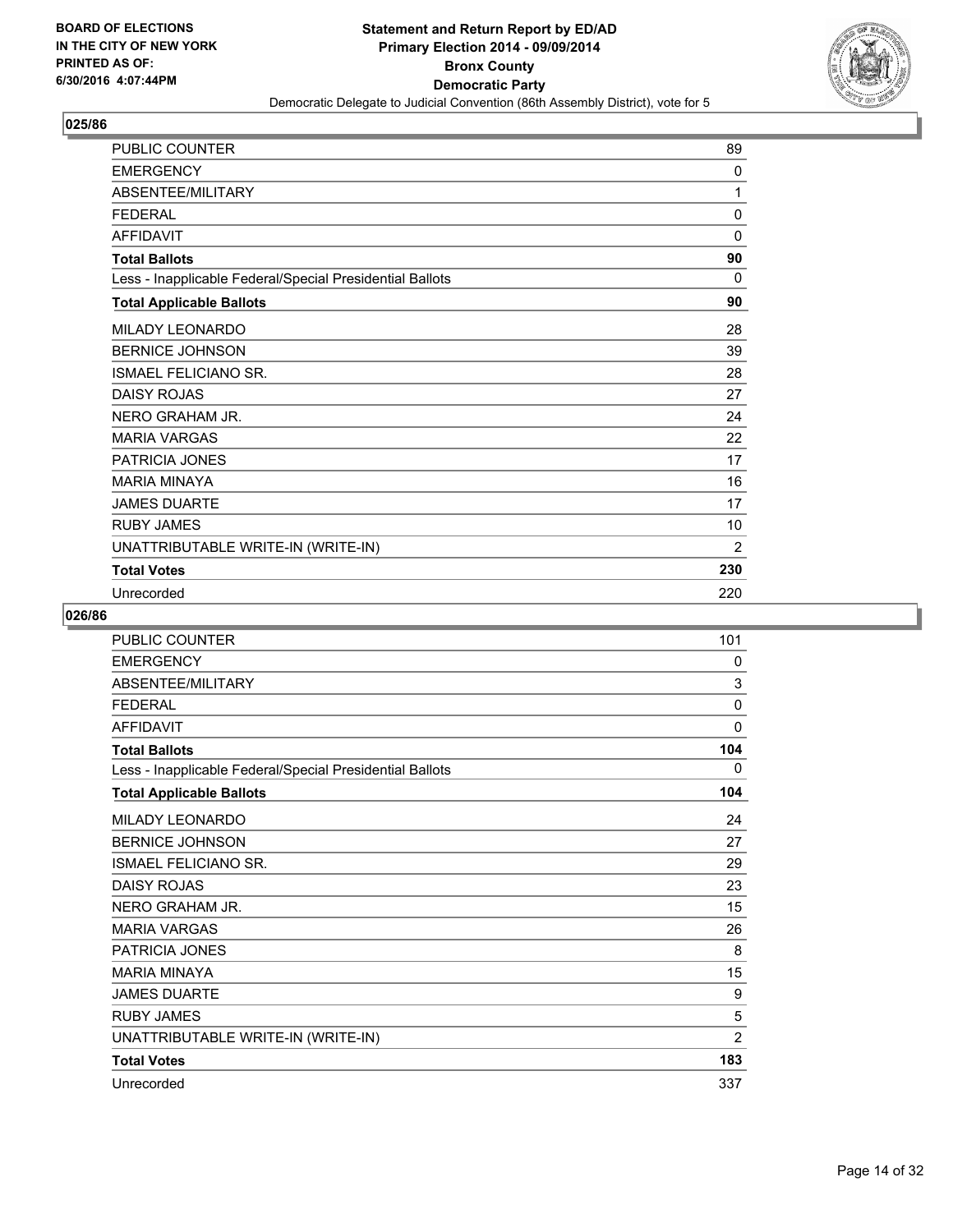

| PUBLIC COUNTER                                           | 89  |
|----------------------------------------------------------|-----|
| <b>EMERGENCY</b>                                         | 0   |
| ABSENTEE/MILITARY                                        | 1   |
| <b>FEDERAL</b>                                           | 0   |
| <b>AFFIDAVIT</b>                                         | 0   |
| <b>Total Ballots</b>                                     | 90  |
| Less - Inapplicable Federal/Special Presidential Ballots | 0   |
| <b>Total Applicable Ballots</b>                          | 90  |
| <b>MILADY LEONARDO</b>                                   | 28  |
| <b>BERNICE JOHNSON</b>                                   | 39  |
| <b>ISMAEL FELICIANO SR.</b>                              | 28  |
| <b>DAISY ROJAS</b>                                       | 27  |
| NERO GRAHAM JR.                                          | 24  |
| <b>MARIA VARGAS</b>                                      | 22  |
| PATRICIA JONES                                           | 17  |
| <b>MARIA MINAYA</b>                                      | 16  |
| <b>JAMES DUARTE</b>                                      | 17  |
| <b>RUBY JAMES</b>                                        | 10  |
| UNATTRIBUTABLE WRITE-IN (WRITE-IN)                       | 2   |
| <b>Total Votes</b>                                       | 230 |
| Unrecorded                                               | 220 |

| PUBLIC COUNTER                                           | 101            |
|----------------------------------------------------------|----------------|
| <b>EMERGENCY</b>                                         | 0              |
| ABSENTEE/MILITARY                                        | 3              |
| <b>FEDERAL</b>                                           | 0              |
| <b>AFFIDAVIT</b>                                         | 0              |
| <b>Total Ballots</b>                                     | 104            |
| Less - Inapplicable Federal/Special Presidential Ballots | 0              |
| <b>Total Applicable Ballots</b>                          | 104            |
| <b>MILADY LEONARDO</b>                                   | 24             |
| <b>BERNICE JOHNSON</b>                                   | 27             |
| <b>ISMAEL FELICIANO SR.</b>                              | 29             |
| <b>DAISY ROJAS</b>                                       | 23             |
| NERO GRAHAM JR.                                          | 15             |
| <b>MARIA VARGAS</b>                                      | 26             |
| <b>PATRICIA JONES</b>                                    | 8              |
| <b>MARIA MINAYA</b>                                      | 15             |
| <b>JAMES DUARTE</b>                                      | 9              |
| <b>RUBY JAMES</b>                                        | 5              |
| UNATTRIBUTABLE WRITE-IN (WRITE-IN)                       | $\overline{2}$ |
| <b>Total Votes</b>                                       | 183            |
| Unrecorded                                               | 337            |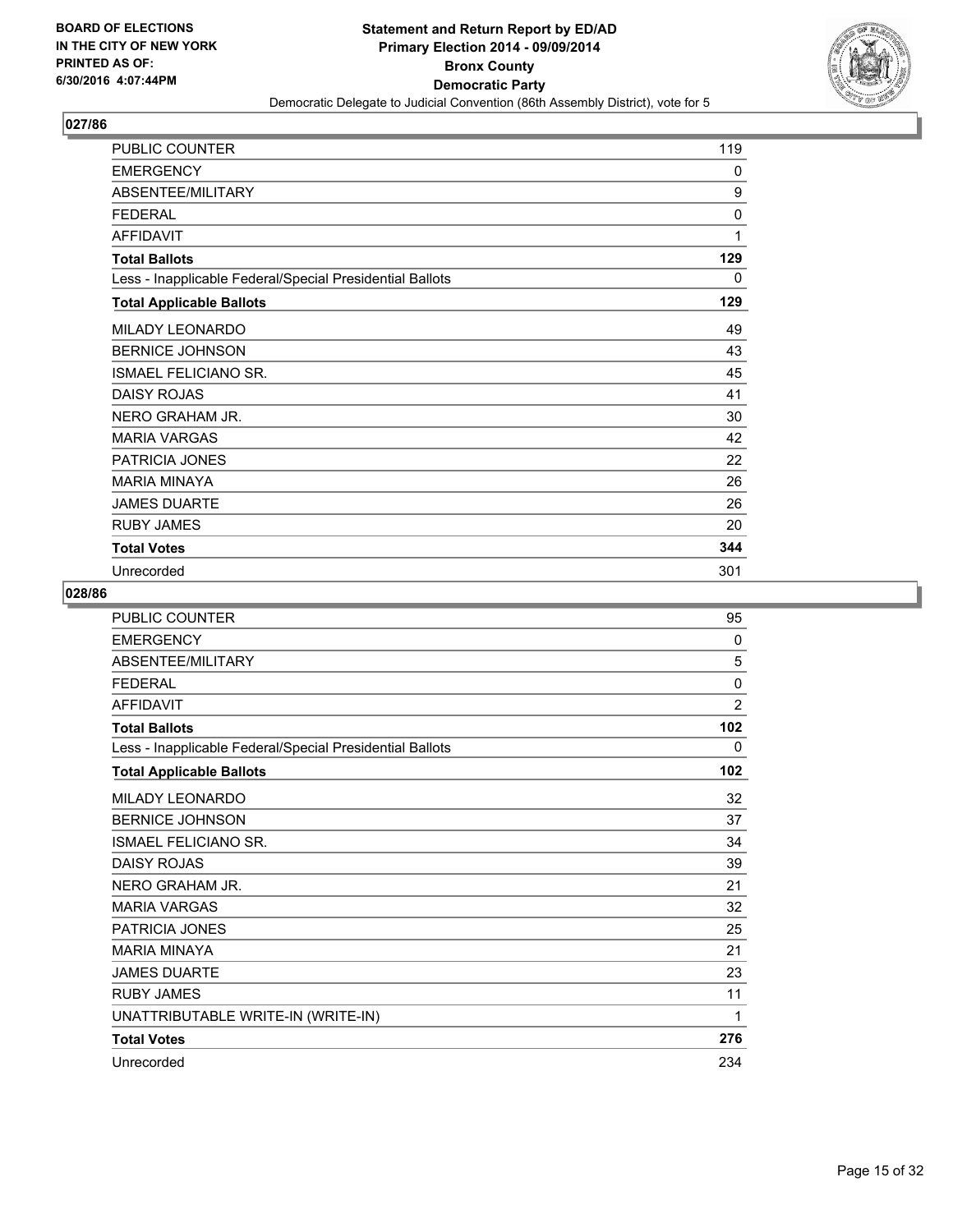

| PUBLIC COUNTER                                           | 119          |
|----------------------------------------------------------|--------------|
| <b>EMERGENCY</b>                                         | 0            |
| ABSENTEE/MILITARY                                        | 9            |
| <b>FEDERAL</b>                                           | $\mathbf{0}$ |
| <b>AFFIDAVIT</b>                                         | 1            |
| <b>Total Ballots</b>                                     | 129          |
| Less - Inapplicable Federal/Special Presidential Ballots | 0            |
| <b>Total Applicable Ballots</b>                          | 129          |
| MILADY LEONARDO                                          | 49           |
| <b>BERNICE JOHNSON</b>                                   | 43           |
| <b>ISMAEL FELICIANO SR.</b>                              | 45           |
| <b>DAISY ROJAS</b>                                       | 41           |
| NERO GRAHAM JR.                                          | 30           |
| <b>MARIA VARGAS</b>                                      | 42           |
| <b>PATRICIA JONES</b>                                    | 22           |
| <b>MARIA MINAYA</b>                                      | 26           |
| <b>JAMES DUARTE</b>                                      | 26           |
| <b>RUBY JAMES</b>                                        | 20           |
| <b>Total Votes</b>                                       | 344          |
| Unrecorded                                               | 301          |

| <b>PUBLIC COUNTER</b>                                    | 95             |
|----------------------------------------------------------|----------------|
| <b>EMERGENCY</b>                                         | 0              |
| ABSENTEE/MILITARY                                        | 5              |
| <b>FEDERAL</b>                                           | $\mathbf{0}$   |
| <b>AFFIDAVIT</b>                                         | $\overline{2}$ |
| <b>Total Ballots</b>                                     | 102            |
| Less - Inapplicable Federal/Special Presidential Ballots | 0              |
| <b>Total Applicable Ballots</b>                          | 102            |
| <b>MILADY LEONARDO</b>                                   | 32             |
| <b>BERNICE JOHNSON</b>                                   | 37             |
| <b>ISMAEL FELICIANO SR.</b>                              | 34             |
| <b>DAISY ROJAS</b>                                       | 39             |
| NERO GRAHAM JR.                                          | 21             |
| <b>MARIA VARGAS</b>                                      | 32             |
| PATRICIA JONES                                           | 25             |
| <b>MARIA MINAYA</b>                                      | 21             |
| <b>JAMES DUARTE</b>                                      | 23             |
| <b>RUBY JAMES</b>                                        | 11             |
| UNATTRIBUTABLE WRITE-IN (WRITE-IN)                       | 1              |
| <b>Total Votes</b>                                       | 276            |
| Unrecorded                                               | 234            |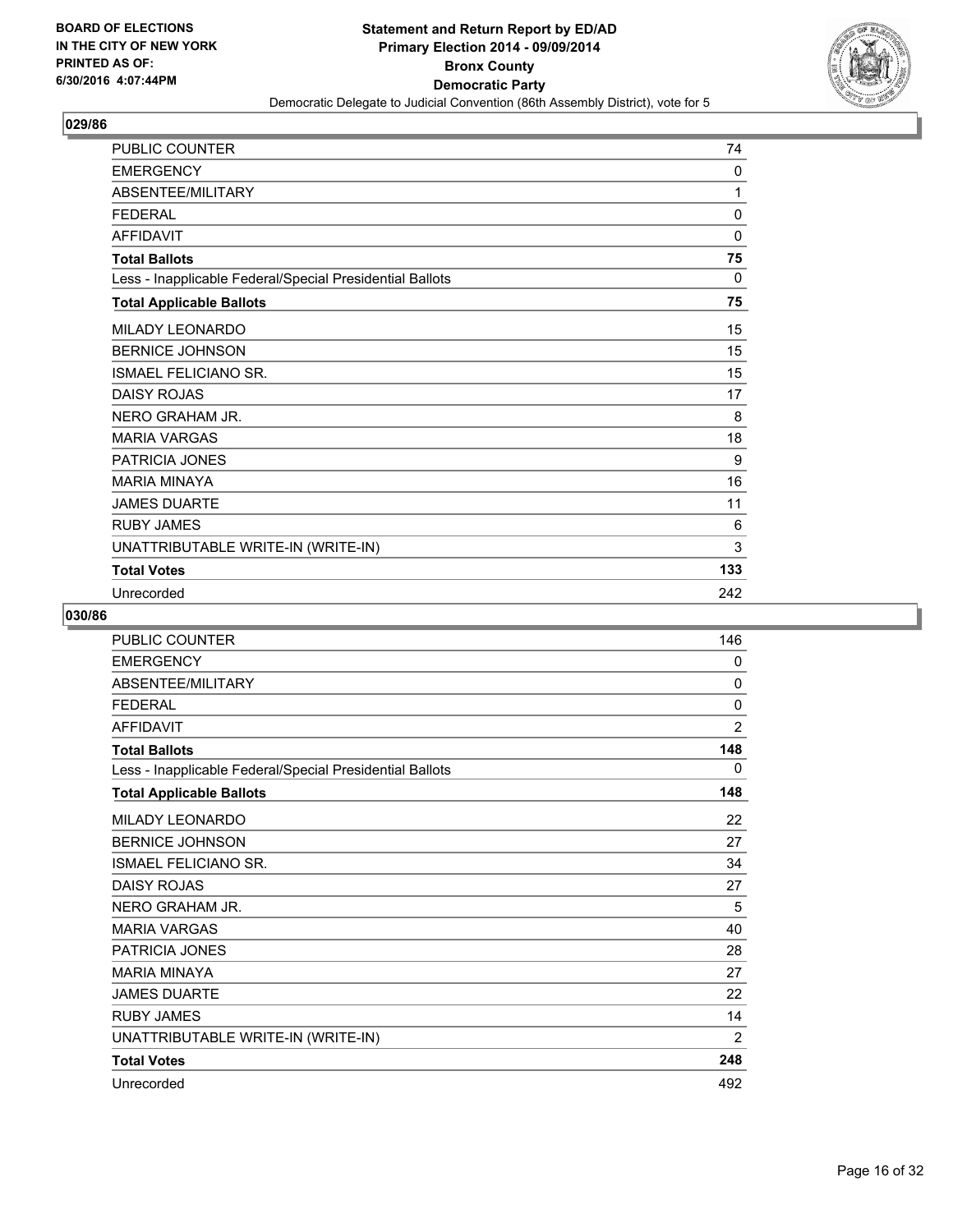

| PUBLIC COUNTER                                           | 74  |
|----------------------------------------------------------|-----|
| <b>EMERGENCY</b>                                         | 0   |
| ABSENTEE/MILITARY                                        | 1   |
| <b>FEDERAL</b>                                           | 0   |
| <b>AFFIDAVIT</b>                                         | 0   |
| <b>Total Ballots</b>                                     | 75  |
| Less - Inapplicable Federal/Special Presidential Ballots | 0   |
| <b>Total Applicable Ballots</b>                          | 75  |
| <b>MILADY LEONARDO</b>                                   | 15  |
| <b>BERNICE JOHNSON</b>                                   | 15  |
| <b>ISMAEL FELICIANO SR.</b>                              | 15  |
| <b>DAISY ROJAS</b>                                       | 17  |
| NERO GRAHAM JR.                                          | 8   |
| <b>MARIA VARGAS</b>                                      | 18  |
| PATRICIA JONES                                           | 9   |
| <b>MARIA MINAYA</b>                                      | 16  |
| <b>JAMES DUARTE</b>                                      | 11  |
| <b>RUBY JAMES</b>                                        | 6   |
| UNATTRIBUTABLE WRITE-IN (WRITE-IN)                       | 3   |
| <b>Total Votes</b>                                       | 133 |
| Unrecorded                                               | 242 |

| <b>PUBLIC COUNTER</b>                                    | 146            |
|----------------------------------------------------------|----------------|
| <b>EMERGENCY</b>                                         | 0              |
| ABSENTEE/MILITARY                                        | 0              |
| <b>FFDFRAI</b>                                           | 0              |
| <b>AFFIDAVIT</b>                                         | $\overline{2}$ |
| <b>Total Ballots</b>                                     | 148            |
| Less - Inapplicable Federal/Special Presidential Ballots | 0              |
| <b>Total Applicable Ballots</b>                          | 148            |
| <b>MILADY LEONARDO</b>                                   | 22             |
| <b>BERNICE JOHNSON</b>                                   | 27             |
| <b>ISMAEL FELICIANO SR.</b>                              | 34             |
| <b>DAISY ROJAS</b>                                       | 27             |
| NERO GRAHAM JR.                                          | 5              |
| <b>MARIA VARGAS</b>                                      | 40             |
| <b>PATRICIA JONES</b>                                    | 28             |
| <b>MARIA MINAYA</b>                                      | 27             |
| <b>JAMES DUARTE</b>                                      | 22             |
| <b>RUBY JAMES</b>                                        | 14             |
| UNATTRIBUTABLE WRITE-IN (WRITE-IN)                       | $\overline{2}$ |
| <b>Total Votes</b>                                       | 248            |
| Unrecorded                                               | 492            |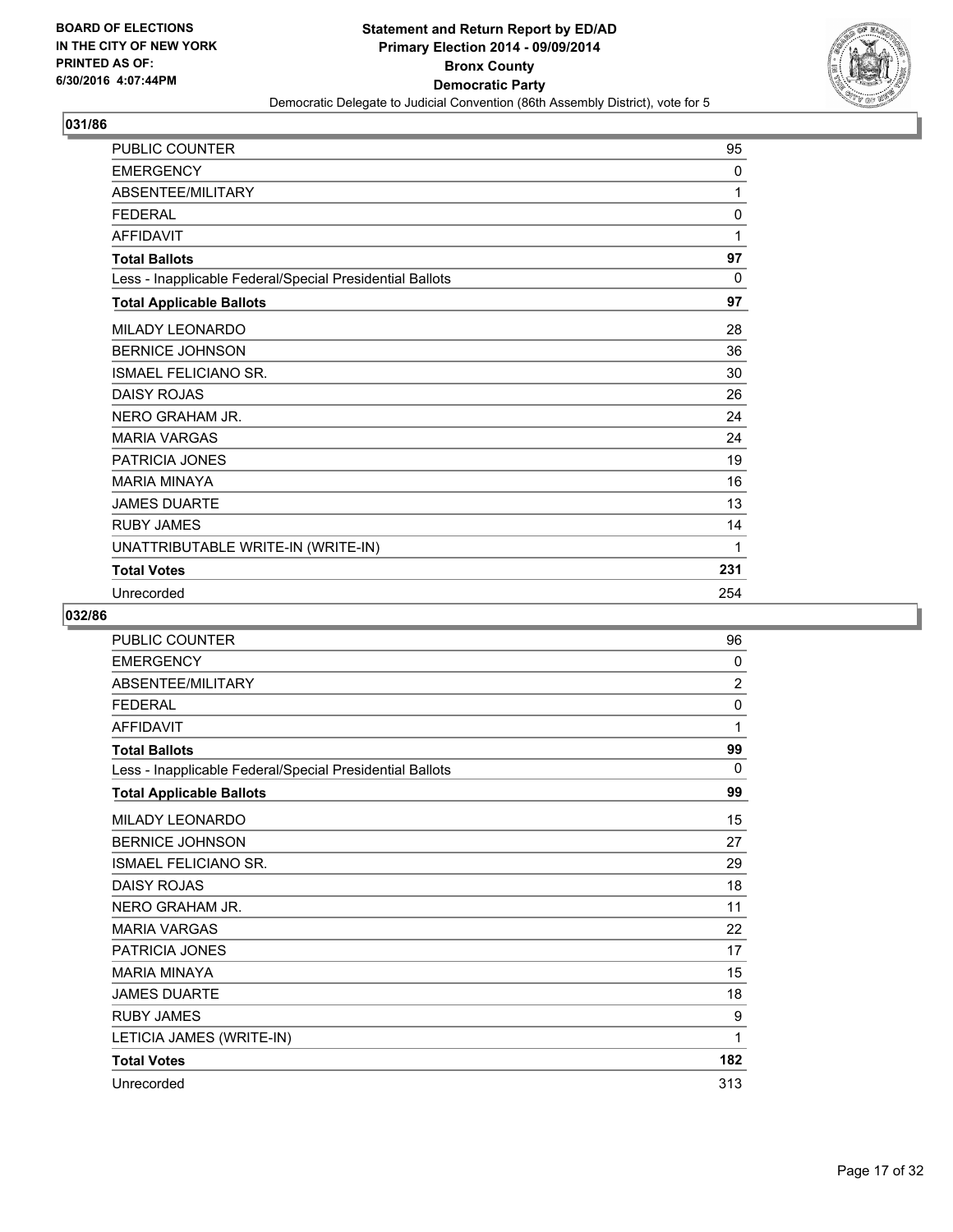

| PUBLIC COUNTER                                           | 95  |
|----------------------------------------------------------|-----|
| <b>EMERGENCY</b>                                         | 0   |
| ABSENTEE/MILITARY                                        | 1   |
| <b>FEDERAL</b>                                           | 0   |
| <b>AFFIDAVIT</b>                                         | 1   |
| <b>Total Ballots</b>                                     | 97  |
| Less - Inapplicable Federal/Special Presidential Ballots | 0   |
| <b>Total Applicable Ballots</b>                          | 97  |
| MILADY LEONARDO                                          | 28  |
| <b>BERNICE JOHNSON</b>                                   | 36  |
| <b>ISMAEL FELICIANO SR.</b>                              | 30  |
| <b>DAISY ROJAS</b>                                       | 26  |
| NERO GRAHAM JR.                                          | 24  |
| <b>MARIA VARGAS</b>                                      | 24  |
| PATRICIA JONES                                           | 19  |
| <b>MARIA MINAYA</b>                                      | 16  |
| <b>JAMES DUARTE</b>                                      | 13  |
| <b>RUBY JAMES</b>                                        | 14  |
| UNATTRIBUTABLE WRITE-IN (WRITE-IN)                       | 1   |
| <b>Total Votes</b>                                       | 231 |
| Unrecorded                                               | 254 |

| <b>PUBLIC COUNTER</b>                                    | 96  |
|----------------------------------------------------------|-----|
| <b>EMERGENCY</b>                                         | 0   |
| ABSENTEE/MILITARY                                        | 2   |
| <b>FEDERAL</b>                                           | 0   |
| <b>AFFIDAVIT</b>                                         | 1   |
| <b>Total Ballots</b>                                     | 99  |
| Less - Inapplicable Federal/Special Presidential Ballots | 0   |
| <b>Total Applicable Ballots</b>                          | 99  |
| <b>MILADY LEONARDO</b>                                   | 15  |
| <b>BERNICE JOHNSON</b>                                   | 27  |
| ISMAEL FELICIANO SR.                                     | 29  |
| <b>DAISY ROJAS</b>                                       | 18  |
| NERO GRAHAM JR.                                          | 11  |
| <b>MARIA VARGAS</b>                                      | 22  |
| PATRICIA JONES                                           | 17  |
| <b>MARIA MINAYA</b>                                      | 15  |
| <b>JAMES DUARTE</b>                                      | 18  |
| <b>RUBY JAMES</b>                                        | 9   |
| LETICIA JAMES (WRITE-IN)                                 | 1   |
| <b>Total Votes</b>                                       | 182 |
| Unrecorded                                               | 313 |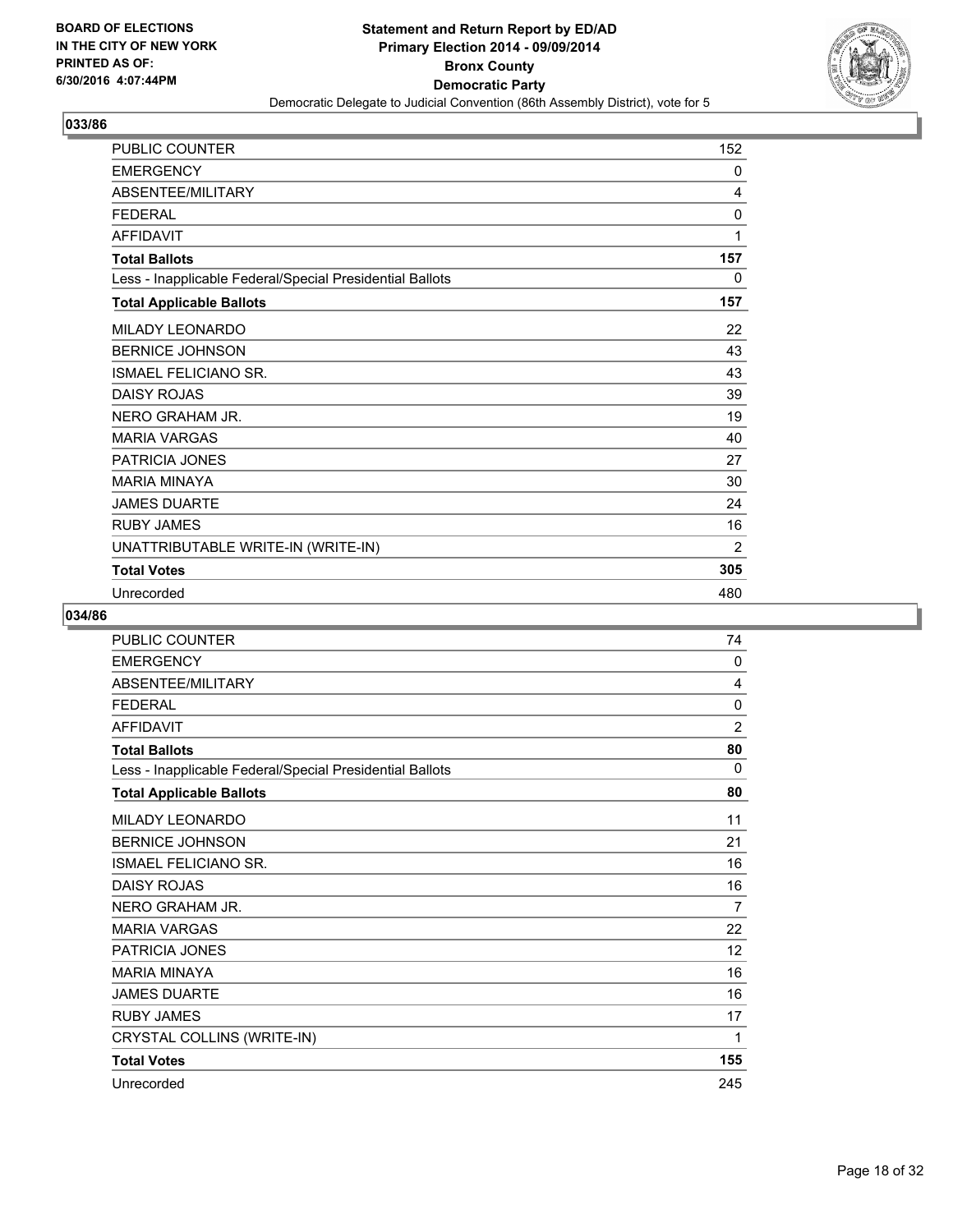

| PUBLIC COUNTER                                           | 152 |
|----------------------------------------------------------|-----|
| <b>EMERGENCY</b>                                         | 0   |
| ABSENTEE/MILITARY                                        | 4   |
| <b>FEDERAL</b>                                           | 0   |
| <b>AFFIDAVIT</b>                                         | 1   |
| <b>Total Ballots</b>                                     | 157 |
| Less - Inapplicable Federal/Special Presidential Ballots | 0   |
| <b>Total Applicable Ballots</b>                          | 157 |
| MILADY LEONARDO                                          | 22  |
| <b>BERNICE JOHNSON</b>                                   | 43  |
| <b>ISMAEL FELICIANO SR.</b>                              | 43  |
| <b>DAISY ROJAS</b>                                       | 39  |
| NERO GRAHAM JR.                                          | 19  |
| <b>MARIA VARGAS</b>                                      | 40  |
| PATRICIA JONES                                           | 27  |
| <b>MARIA MINAYA</b>                                      | 30  |
| <b>JAMES DUARTE</b>                                      | 24  |
| <b>RUBY JAMES</b>                                        | 16  |
| UNATTRIBUTABLE WRITE-IN (WRITE-IN)                       | 2   |
| <b>Total Votes</b>                                       | 305 |
| Unrecorded                                               | 480 |

| PUBLIC COUNTER                                           | 74             |
|----------------------------------------------------------|----------------|
| <b>EMERGENCY</b>                                         | 0              |
| <b>ABSENTEE/MILITARY</b>                                 | 4              |
| <b>FFDFRAL</b>                                           | 0              |
| <b>AFFIDAVIT</b>                                         | $\overline{2}$ |
| <b>Total Ballots</b>                                     | 80             |
| Less - Inapplicable Federal/Special Presidential Ballots | 0              |
| <b>Total Applicable Ballots</b>                          | 80             |
| <b>MILADY LEONARDO</b>                                   | 11             |
| <b>BERNICE JOHNSON</b>                                   | 21             |
| <b>ISMAEL FELICIANO SR.</b>                              | 16             |
| <b>DAISY ROJAS</b>                                       | 16             |
| NERO GRAHAM JR.                                          | 7              |
| <b>MARIA VARGAS</b>                                      | 22             |
| <b>PATRICIA JONES</b>                                    | 12             |
| <b>MARIA MINAYA</b>                                      | 16             |
| <b>JAMES DUARTE</b>                                      | 16             |
| <b>RUBY JAMES</b>                                        | 17             |
| CRYSTAL COLLINS (WRITE-IN)                               | 1              |
| <b>Total Votes</b>                                       | 155            |
| Unrecorded                                               | 245            |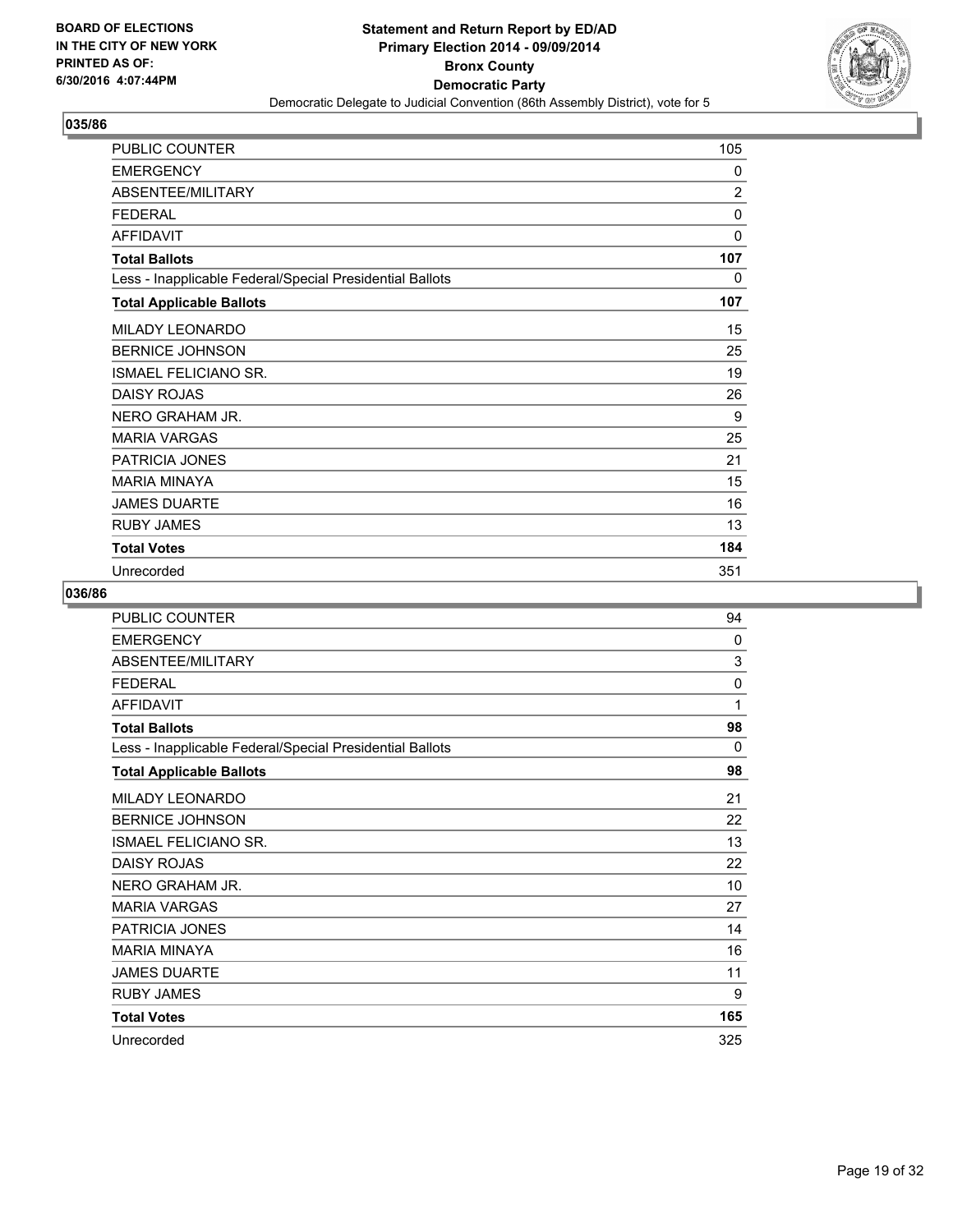

| PUBLIC COUNTER                                           | 105            |
|----------------------------------------------------------|----------------|
| <b>EMERGENCY</b>                                         | 0              |
| ABSENTEE/MILITARY                                        | $\overline{2}$ |
| <b>FEDERAL</b>                                           | 0              |
| <b>AFFIDAVIT</b>                                         | 0              |
| <b>Total Ballots</b>                                     | 107            |
| Less - Inapplicable Federal/Special Presidential Ballots | 0              |
| <b>Total Applicable Ballots</b>                          | 107            |
| MILADY LEONARDO                                          | 15             |
| <b>BERNICE JOHNSON</b>                                   | 25             |
| ISMAEL FELICIANO SR.                                     | 19             |
| <b>DAISY ROJAS</b>                                       | 26             |
| NERO GRAHAM JR.                                          | 9              |
| <b>MARIA VARGAS</b>                                      | 25             |
| <b>PATRICIA JONES</b>                                    | 21             |
| <b>MARIA MINAYA</b>                                      | 15             |
| <b>JAMES DUARTE</b>                                      | 16             |
| <b>RUBY JAMES</b>                                        | 13             |
| <b>Total Votes</b>                                       | 184            |
| Unrecorded                                               | 351            |

| PUBLIC COUNTER                                           | 94  |
|----------------------------------------------------------|-----|
| <b>EMERGENCY</b>                                         | 0   |
| ABSENTEE/MILITARY                                        | 3   |
| <b>FEDERAL</b>                                           | 0   |
| <b>AFFIDAVIT</b>                                         | 1   |
| <b>Total Ballots</b>                                     | 98  |
| Less - Inapplicable Federal/Special Presidential Ballots | 0   |
| <b>Total Applicable Ballots</b>                          | 98  |
| <b>MILADY LEONARDO</b>                                   | 21  |
| <b>BERNICE JOHNSON</b>                                   | 22  |
| ISMAEL FELICIANO SR.                                     | 13  |
| <b>DAISY ROJAS</b>                                       | 22  |
| NERO GRAHAM JR.                                          | 10  |
| <b>MARIA VARGAS</b>                                      | 27  |
| PATRICIA JONES                                           | 14  |
| <b>MARIA MINAYA</b>                                      | 16  |
| <b>JAMES DUARTE</b>                                      | 11  |
| <b>RUBY JAMES</b>                                        | 9   |
| <b>Total Votes</b>                                       | 165 |
| Unrecorded                                               | 325 |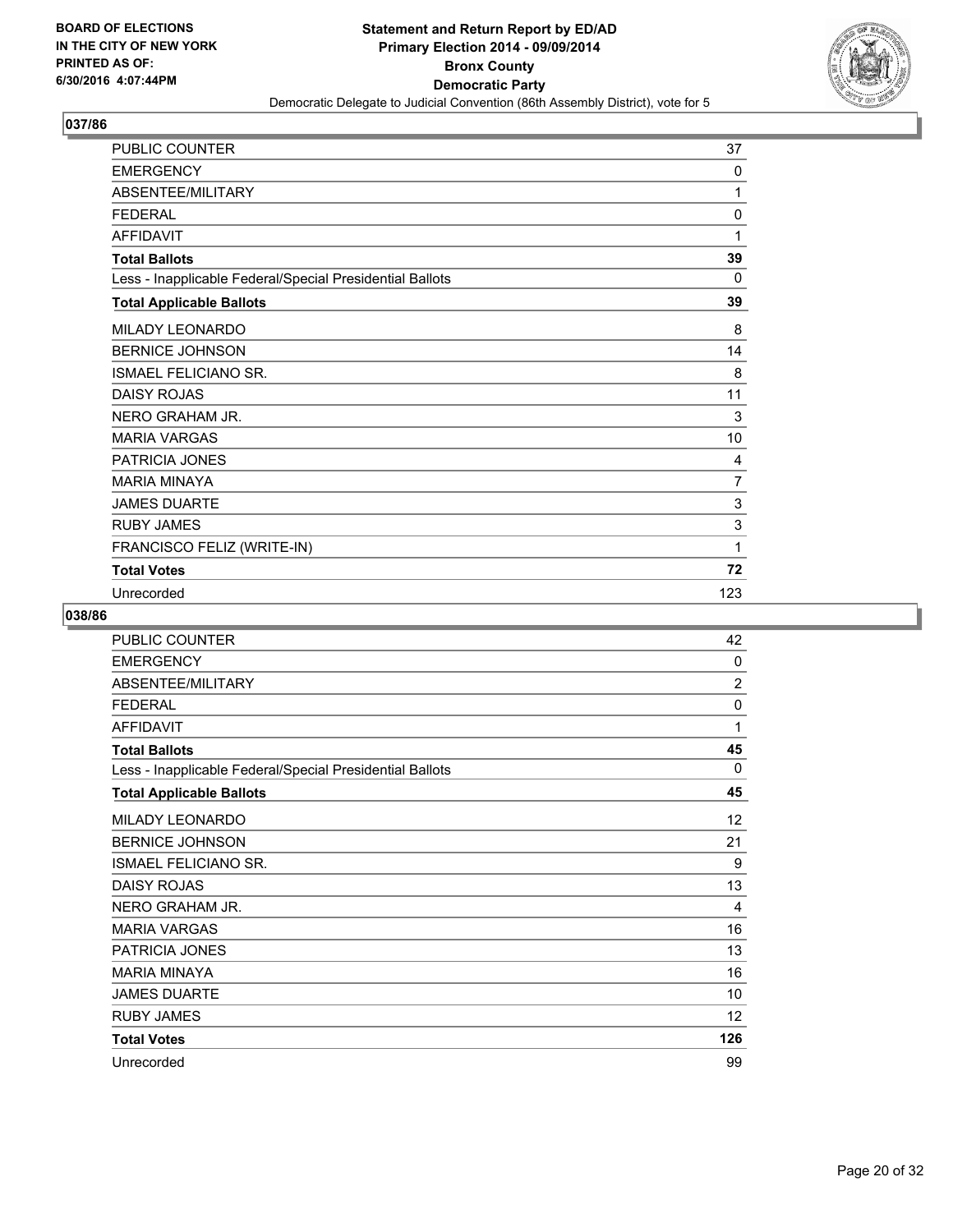

| PUBLIC COUNTER                                           | 37  |
|----------------------------------------------------------|-----|
| <b>EMERGENCY</b>                                         | 0   |
| ABSENTEE/MILITARY                                        | 1   |
| <b>FEDERAL</b>                                           | 0   |
| <b>AFFIDAVIT</b>                                         | 1   |
| <b>Total Ballots</b>                                     | 39  |
| Less - Inapplicable Federal/Special Presidential Ballots | 0   |
| <b>Total Applicable Ballots</b>                          | 39  |
| MILADY LEONARDO                                          | 8   |
| <b>BERNICE JOHNSON</b>                                   | 14  |
| <b>ISMAEL FELICIANO SR.</b>                              | 8   |
| <b>DAISY ROJAS</b>                                       | 11  |
| NERO GRAHAM JR.                                          | 3   |
| <b>MARIA VARGAS</b>                                      | 10  |
| PATRICIA JONES                                           | 4   |
| <b>MARIA MINAYA</b>                                      | 7   |
| <b>JAMES DUARTE</b>                                      | 3   |
| <b>RUBY JAMES</b>                                        | 3   |
| FRANCISCO FELIZ (WRITE-IN)                               | 1   |
| <b>Total Votes</b>                                       | 72  |
| Unrecorded                                               | 123 |

| <b>PUBLIC COUNTER</b>                                    | 42                |
|----------------------------------------------------------|-------------------|
| <b>EMERGENCY</b>                                         | 0                 |
| ABSENTEE/MILITARY                                        | $\overline{2}$    |
| <b>FEDERAL</b>                                           | 0                 |
| <b>AFFIDAVIT</b>                                         | 1                 |
| <b>Total Ballots</b>                                     | 45                |
| Less - Inapplicable Federal/Special Presidential Ballots | $\Omega$          |
| <b>Total Applicable Ballots</b>                          | 45                |
| MILADY LEONARDO                                          | 12                |
| <b>BERNICE JOHNSON</b>                                   | 21                |
| <b>ISMAEL FELICIANO SR.</b>                              | 9                 |
| <b>DAISY ROJAS</b>                                       | 13                |
| NERO GRAHAM JR.                                          | 4                 |
| <b>MARIA VARGAS</b>                                      | 16                |
| PATRICIA JONES                                           | 13                |
| <b>MARIA MINAYA</b>                                      | 16                |
| <b>JAMES DUARTE</b>                                      | 10                |
| <b>RUBY JAMES</b>                                        | $12 \overline{ }$ |
| <b>Total Votes</b>                                       | 126               |
| Unrecorded                                               | 99                |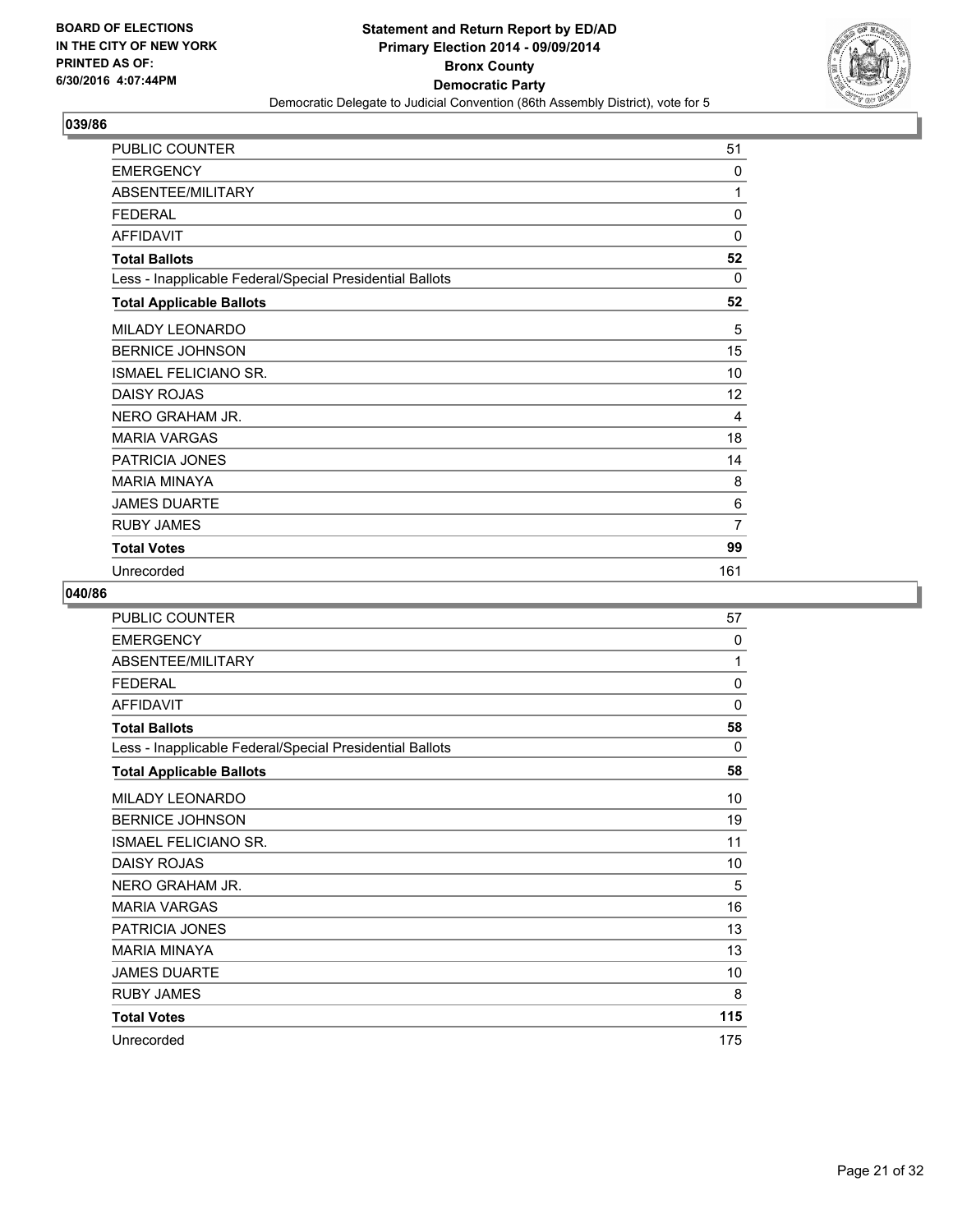

| PUBLIC COUNTER                                           | 51             |
|----------------------------------------------------------|----------------|
| <b>EMERGENCY</b>                                         | 0              |
| ABSENTEE/MILITARY                                        | 1              |
| <b>FEDERAL</b>                                           | $\mathbf{0}$   |
| <b>AFFIDAVIT</b>                                         | 0              |
| <b>Total Ballots</b>                                     | 52             |
| Less - Inapplicable Federal/Special Presidential Ballots | 0              |
| <b>Total Applicable Ballots</b>                          | 52             |
| MILADY LEONARDO                                          | 5              |
| <b>BERNICE JOHNSON</b>                                   | 15             |
| <b>ISMAEL FELICIANO SR.</b>                              | 10             |
| <b>DAISY ROJAS</b>                                       | 12             |
| NERO GRAHAM JR.                                          | 4              |
| <b>MARIA VARGAS</b>                                      | 18             |
| <b>PATRICIA JONES</b>                                    | 14             |
| <b>MARIA MINAYA</b>                                      | 8              |
| <b>JAMES DUARTE</b>                                      | 6              |
| <b>RUBY JAMES</b>                                        | $\overline{7}$ |
| <b>Total Votes</b>                                       | 99             |
| Unrecorded                                               | 161            |

| PUBLIC COUNTER                                           | 57       |
|----------------------------------------------------------|----------|
| <b>EMERGENCY</b>                                         | 0        |
| ABSENTEE/MILITARY                                        | 1        |
| <b>FEDERAL</b>                                           | 0        |
| <b>AFFIDAVIT</b>                                         | 0        |
| <b>Total Ballots</b>                                     | 58       |
| Less - Inapplicable Federal/Special Presidential Ballots | $\Omega$ |
| <b>Total Applicable Ballots</b>                          | 58       |
| <b>MILADY LEONARDO</b>                                   | 10       |
| <b>BERNICE JOHNSON</b>                                   | 19       |
| ISMAEL FELICIANO SR.                                     | 11       |
| <b>DAISY ROJAS</b>                                       | 10       |
| NERO GRAHAM JR.                                          | 5        |
| <b>MARIA VARGAS</b>                                      | 16       |
| <b>PATRICIA JONES</b>                                    | 13       |
| <b>MARIA MINAYA</b>                                      | 13       |
| <b>JAMES DUARTE</b>                                      | 10       |
| <b>RUBY JAMES</b>                                        | 8        |
| <b>Total Votes</b>                                       | 115      |
| Unrecorded                                               | 175      |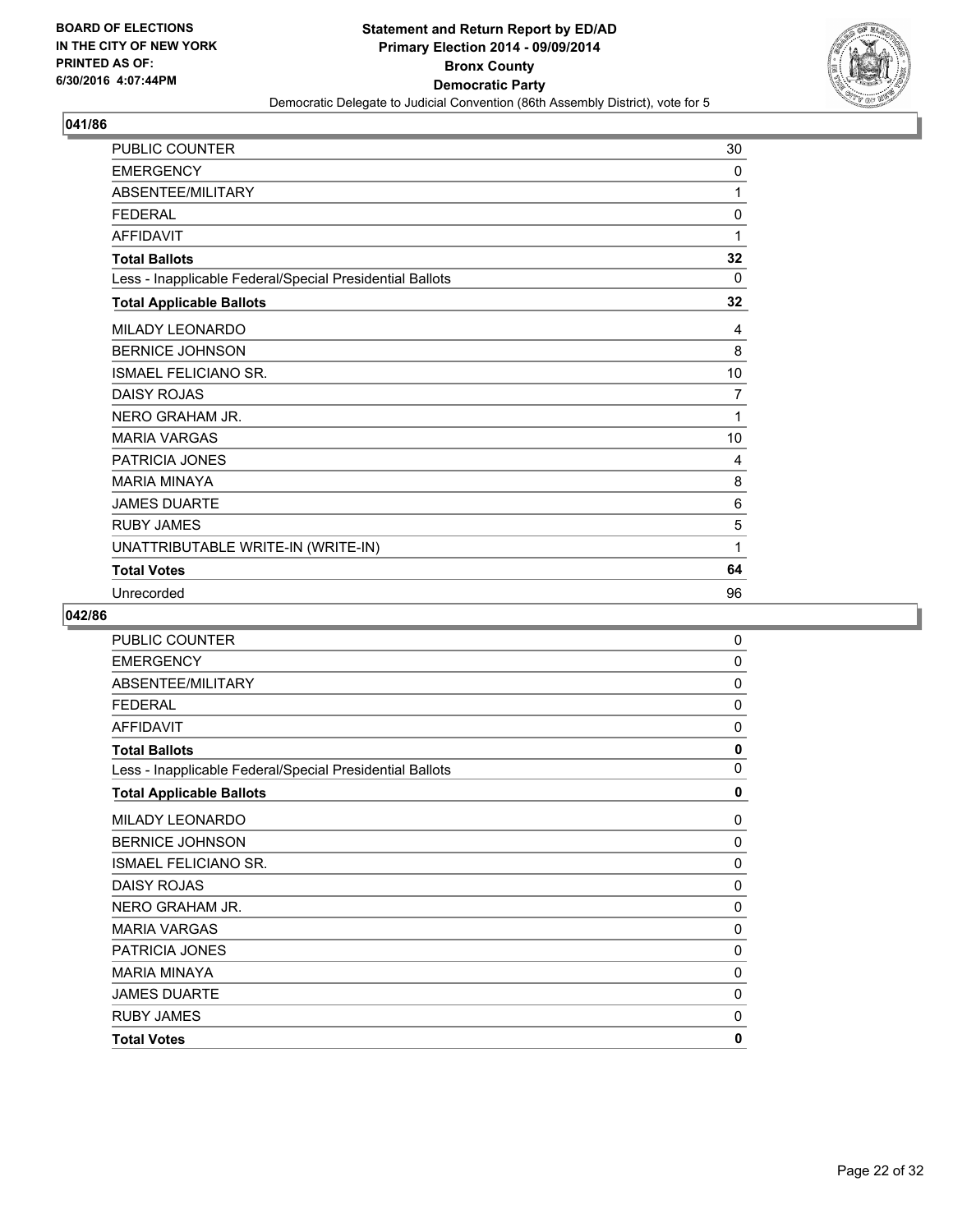

| PUBLIC COUNTER                                           | 30 |
|----------------------------------------------------------|----|
| <b>EMERGENCY</b>                                         | 0  |
| ABSENTEE/MILITARY                                        | 1  |
| <b>FEDERAL</b>                                           | 0  |
| <b>AFFIDAVIT</b>                                         | 1  |
| <b>Total Ballots</b>                                     | 32 |
| Less - Inapplicable Federal/Special Presidential Ballots | 0  |
| <b>Total Applicable Ballots</b>                          | 32 |
| MILADY LEONARDO                                          | 4  |
| <b>BERNICE JOHNSON</b>                                   | 8  |
| <b>ISMAEL FELICIANO SR.</b>                              | 10 |
| <b>DAISY ROJAS</b>                                       | 7  |
| NERO GRAHAM JR.                                          | 1  |
| <b>MARIA VARGAS</b>                                      | 10 |
| PATRICIA JONES                                           | 4  |
| <b>MARIA MINAYA</b>                                      | 8  |
| <b>JAMES DUARTE</b>                                      | 6  |
| <b>RUBY JAMES</b>                                        | 5  |
| UNATTRIBUTABLE WRITE-IN (WRITE-IN)                       | 1  |
| <b>Total Votes</b>                                       | 64 |
| Unrecorded                                               | 96 |

| <b>PUBLIC COUNTER</b>                                    | 0 |
|----------------------------------------------------------|---|
| <b>EMERGENCY</b>                                         | 0 |
| ABSENTEE/MILITARY                                        | 0 |
| <b>FEDERAL</b>                                           | 0 |
| <b>AFFIDAVIT</b>                                         | 0 |
| <b>Total Ballots</b>                                     | 0 |
| Less - Inapplicable Federal/Special Presidential Ballots | 0 |
| <b>Total Applicable Ballots</b>                          | 0 |
| <b>MILADY LEONARDO</b>                                   | 0 |
| <b>BERNICE JOHNSON</b>                                   | 0 |
| <b>ISMAEL FELICIANO SR.</b>                              | 0 |
| <b>DAISY ROJAS</b>                                       | 0 |
| NERO GRAHAM JR.                                          | 0 |
| <b>MARIA VARGAS</b>                                      | 0 |
| <b>PATRICIA JONES</b>                                    | 0 |
| <b>MARIA MINAYA</b>                                      | 0 |
| <b>JAMES DUARTE</b>                                      | 0 |
| <b>RUBY JAMES</b>                                        | 0 |
| <b>Total Votes</b>                                       | 0 |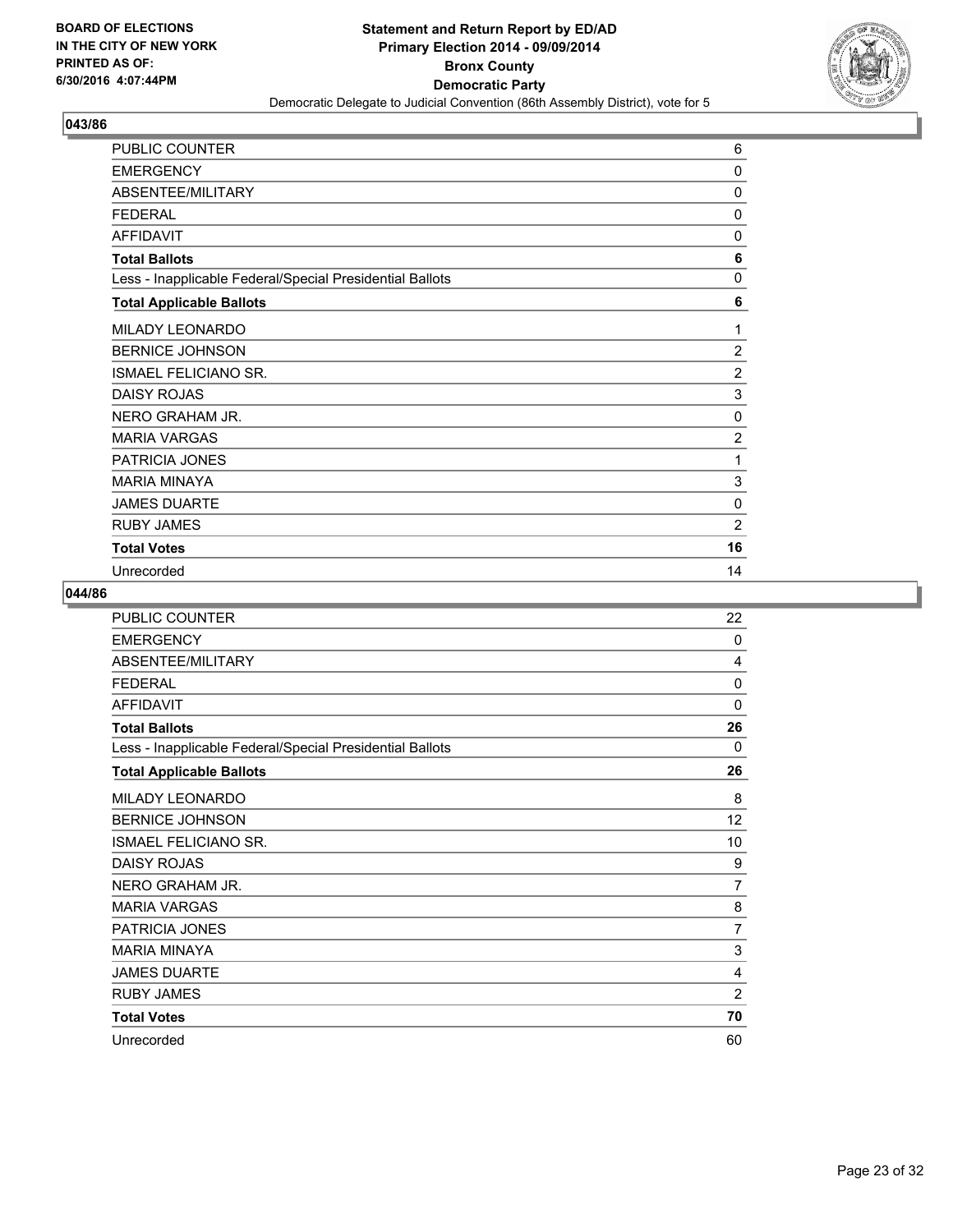

| PUBLIC COUNTER                                           | 6              |
|----------------------------------------------------------|----------------|
| <b>EMERGENCY</b>                                         | 0              |
| ABSENTEE/MILITARY                                        | 0              |
| <b>FEDERAL</b>                                           | $\mathbf{0}$   |
| <b>AFFIDAVIT</b>                                         | 0              |
| <b>Total Ballots</b>                                     | 6              |
| Less - Inapplicable Federal/Special Presidential Ballots | 0              |
| <b>Total Applicable Ballots</b>                          | 6              |
| MILADY LEONARDO                                          | 1              |
| <b>BERNICE JOHNSON</b>                                   | 2              |
| <b>ISMAEL FELICIANO SR.</b>                              | $\overline{2}$ |
| <b>DAISY ROJAS</b>                                       | 3              |
| NERO GRAHAM JR.                                          | 0              |
| <b>MARIA VARGAS</b>                                      | $\overline{2}$ |
| <b>PATRICIA JONES</b>                                    | 1              |
| <b>MARIA MINAYA</b>                                      | 3              |
| <b>JAMES DUARTE</b>                                      | 0              |
| <b>RUBY JAMES</b>                                        | $\overline{2}$ |
| <b>Total Votes</b>                                       | 16             |
| Unrecorded                                               | 14             |

| PUBLIC COUNTER                                           | 22             |
|----------------------------------------------------------|----------------|
| <b>EMERGENCY</b>                                         | 0              |
| ABSENTEE/MILITARY                                        | 4              |
| <b>FEDERAL</b>                                           | $\Omega$       |
| <b>AFFIDAVIT</b>                                         | 0              |
| <b>Total Ballots</b>                                     | 26             |
| Less - Inapplicable Federal/Special Presidential Ballots | 0              |
| <b>Total Applicable Ballots</b>                          | 26             |
| MILADY LEONARDO                                          | 8              |
| <b>BERNICE JOHNSON</b>                                   | 12             |
| <b>ISMAEL FELICIANO SR.</b>                              | 10             |
| <b>DAISY ROJAS</b>                                       | 9              |
| NERO GRAHAM JR.                                          | 7              |
| <b>MARIA VARGAS</b>                                      | 8              |
| PATRICIA JONES                                           | 7              |
| <b>MARIA MINAYA</b>                                      | 3              |
| <b>JAMES DUARTE</b>                                      | 4              |
| <b>RUBY JAMES</b>                                        | $\overline{2}$ |
| <b>Total Votes</b>                                       | 70             |
| Unrecorded                                               | 60             |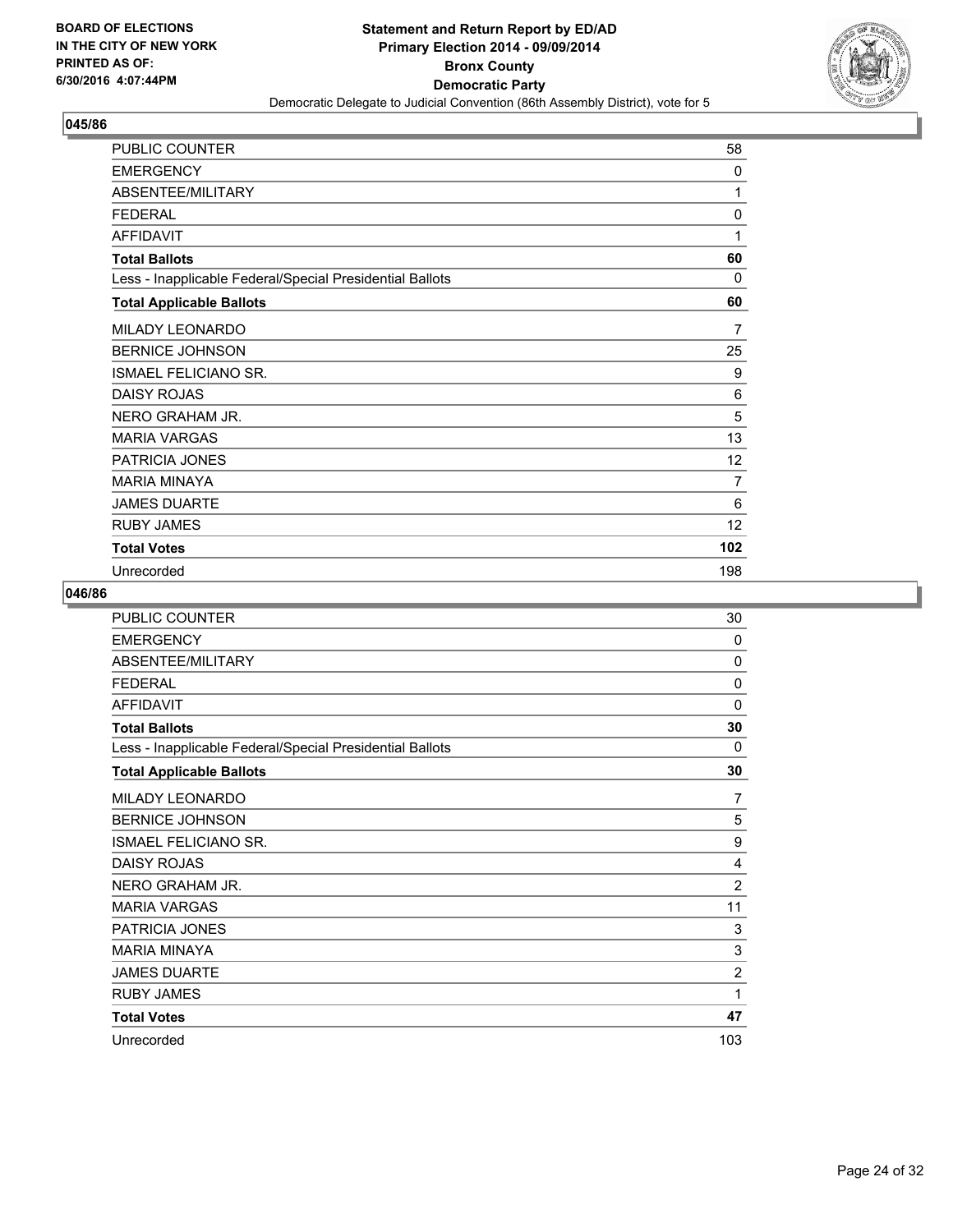

| PUBLIC COUNTER                                           | 58              |
|----------------------------------------------------------|-----------------|
| <b>EMERGENCY</b>                                         | 0               |
| ABSENTEE/MILITARY                                        | 1               |
| <b>FEDERAL</b>                                           | 0               |
| <b>AFFIDAVIT</b>                                         | 1               |
| <b>Total Ballots</b>                                     | 60              |
| Less - Inapplicable Federal/Special Presidential Ballots | $\Omega$        |
| <b>Total Applicable Ballots</b>                          | 60              |
| MILADY LEONARDO                                          | 7               |
| <b>BERNICE JOHNSON</b>                                   | 25              |
| <b>ISMAEL FELICIANO SR.</b>                              | 9               |
| <b>DAISY ROJAS</b>                                       | 6               |
| NERO GRAHAM JR.                                          | 5               |
| <b>MARIA VARGAS</b>                                      | 13              |
| <b>PATRICIA JONES</b>                                    | 12 <sup>°</sup> |
| <b>MARIA MINAYA</b>                                      | 7               |
| <b>JAMES DUARTE</b>                                      | 6               |
| <b>RUBY JAMES</b>                                        | 12              |
| <b>Total Votes</b>                                       | 102             |
| Unrecorded                                               | 198             |

| PUBLIC COUNTER                                           | 30             |
|----------------------------------------------------------|----------------|
| <b>EMERGENCY</b>                                         | 0              |
| ABSENTEE/MILITARY                                        | 0              |
| <b>FEDERAL</b>                                           | 0              |
| <b>AFFIDAVIT</b>                                         | 0              |
| <b>Total Ballots</b>                                     | 30             |
| Less - Inapplicable Federal/Special Presidential Ballots | 0              |
| <b>Total Applicable Ballots</b>                          | 30             |
| <b>MILADY LEONARDO</b>                                   | 7              |
| <b>BERNICE JOHNSON</b>                                   | 5              |
| ISMAEL FELICIANO SR.                                     | 9              |
| <b>DAISY ROJAS</b>                                       | 4              |
| NERO GRAHAM JR.                                          | $\overline{2}$ |
| <b>MARIA VARGAS</b>                                      | 11             |
| <b>PATRICIA JONES</b>                                    | 3              |
| <b>MARIA MINAYA</b>                                      | 3              |
| <b>JAMES DUARTE</b>                                      | $\overline{2}$ |
| <b>RUBY JAMES</b>                                        | 1              |
| <b>Total Votes</b>                                       | 47             |
| Unrecorded                                               | 103            |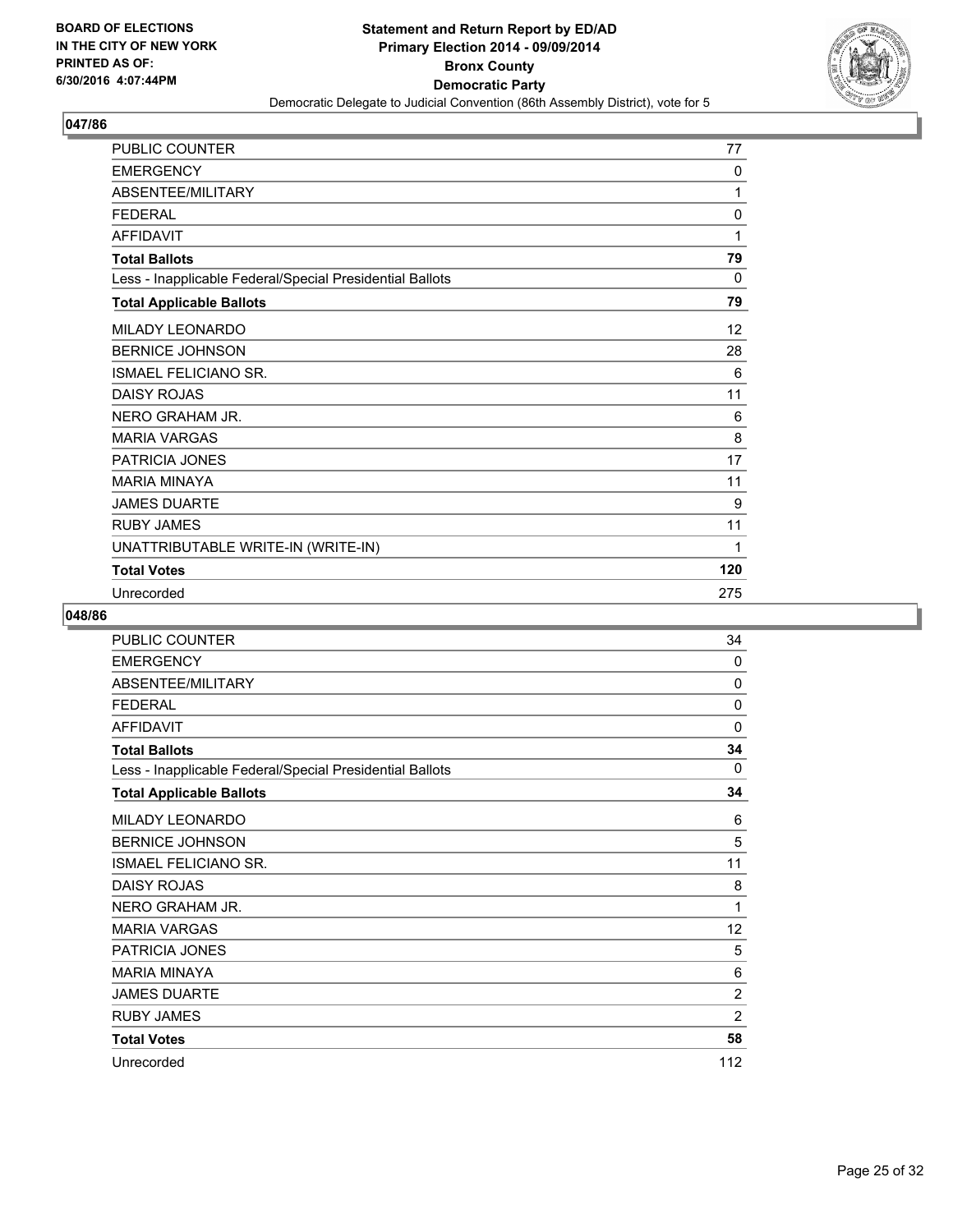

| PUBLIC COUNTER                                           | 77  |
|----------------------------------------------------------|-----|
| <b>EMERGENCY</b>                                         | 0   |
| ABSENTEE/MILITARY                                        | 1   |
| <b>FEDERAL</b>                                           | 0   |
| <b>AFFIDAVIT</b>                                         | 1   |
| <b>Total Ballots</b>                                     | 79  |
| Less - Inapplicable Federal/Special Presidential Ballots | 0   |
| <b>Total Applicable Ballots</b>                          | 79  |
| MILADY LEONARDO                                          | 12  |
| <b>BERNICE JOHNSON</b>                                   | 28  |
| <b>ISMAEL FELICIANO SR.</b>                              | 6   |
| <b>DAISY ROJAS</b>                                       | 11  |
| NERO GRAHAM JR.                                          | 6   |
| <b>MARIA VARGAS</b>                                      | 8   |
| PATRICIA JONES                                           | 17  |
| <b>MARIA MINAYA</b>                                      | 11  |
| <b>JAMES DUARTE</b>                                      | 9   |
| <b>RUBY JAMES</b>                                        | 11  |
| UNATTRIBUTABLE WRITE-IN (WRITE-IN)                       | 1   |
| <b>Total Votes</b>                                       | 120 |
| Unrecorded                                               | 275 |

| PUBLIC COUNTER                                           | 34             |
|----------------------------------------------------------|----------------|
| <b>EMERGENCY</b>                                         | 0              |
| <b>ABSENTEE/MILITARY</b>                                 | 0              |
| <b>FEDERAL</b>                                           | 0              |
| <b>AFFIDAVIT</b>                                         | 0              |
| <b>Total Ballots</b>                                     | 34             |
| Less - Inapplicable Federal/Special Presidential Ballots | 0              |
| <b>Total Applicable Ballots</b>                          | 34             |
| <b>MILADY LEONARDO</b>                                   | 6              |
| <b>BERNICE JOHNSON</b>                                   | 5              |
| <b>ISMAEL FELICIANO SR.</b>                              | 11             |
| <b>DAISY ROJAS</b>                                       | 8              |
| NERO GRAHAM JR.                                          | 1              |
| <b>MARIA VARGAS</b>                                      | 12             |
| PATRICIA JONES                                           | 5              |
| <b>MARIA MINAYA</b>                                      | 6              |
| <b>JAMES DUARTE</b>                                      | $\overline{2}$ |
| <b>RUBY JAMES</b>                                        | $\overline{2}$ |
| <b>Total Votes</b>                                       | 58             |
| Unrecorded                                               | 112            |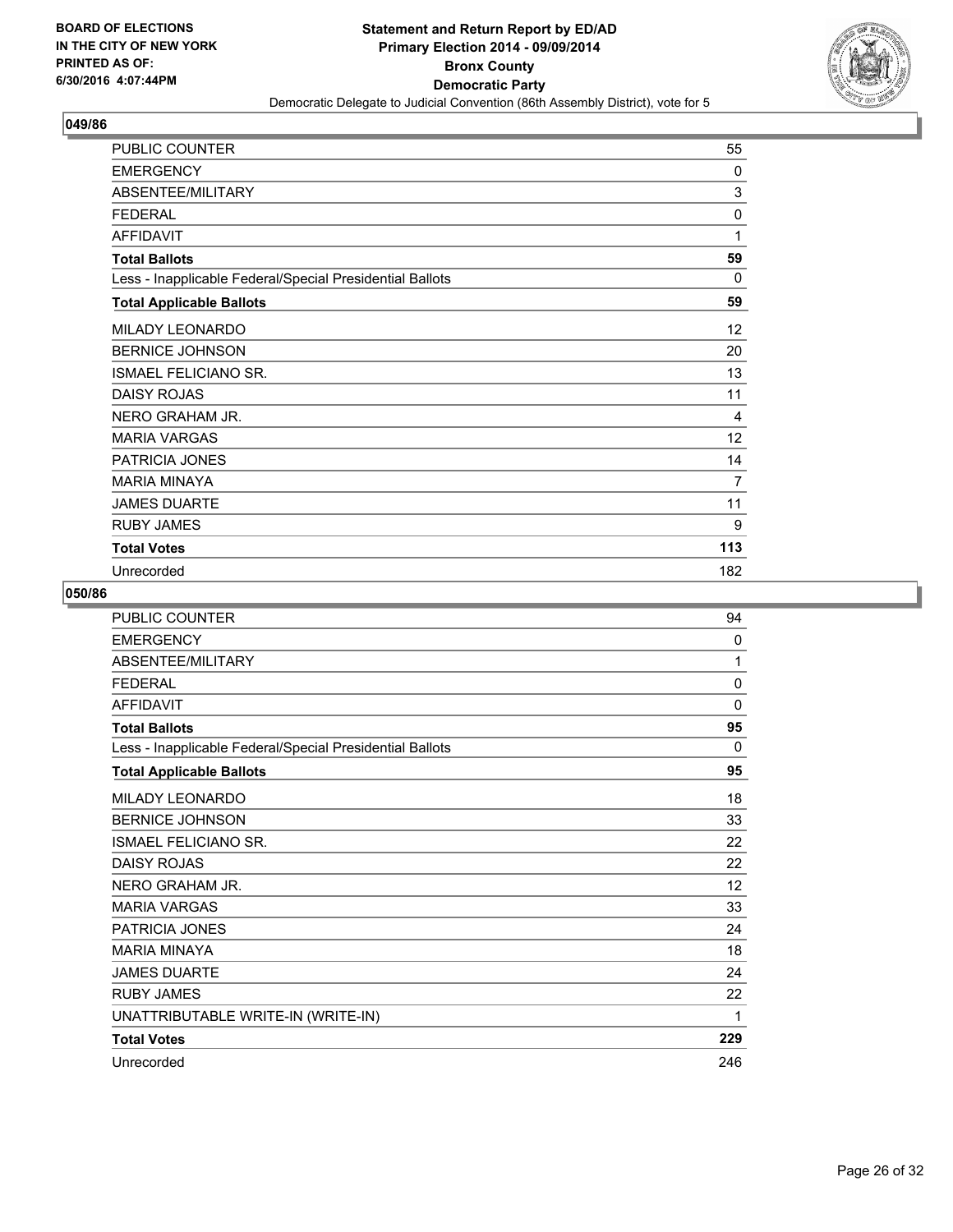

| PUBLIC COUNTER                                           | 55           |
|----------------------------------------------------------|--------------|
| <b>EMERGENCY</b>                                         | 0            |
| ABSENTEE/MILITARY                                        | 3            |
| <b>FEDERAL</b>                                           | 0            |
| <b>AFFIDAVIT</b>                                         | 1            |
| <b>Total Ballots</b>                                     | 59           |
| Less - Inapplicable Federal/Special Presidential Ballots | $\mathbf{0}$ |
| <b>Total Applicable Ballots</b>                          | 59           |
| MILADY LEONARDO                                          | 12           |
| <b>BERNICE JOHNSON</b>                                   | 20           |
| ISMAEL FELICIANO SR.                                     | 13           |
| <b>DAISY ROJAS</b>                                       | 11           |
| NERO GRAHAM JR.                                          | 4            |
| <b>MARIA VARGAS</b>                                      | 12           |
| <b>PATRICIA JONES</b>                                    | 14           |
| <b>MARIA MINAYA</b>                                      | 7            |
| <b>JAMES DUARTE</b>                                      | 11           |
| <b>RUBY JAMES</b>                                        | 9            |
| <b>Total Votes</b>                                       | 113          |
| Unrecorded                                               | 182          |

| <b>PUBLIC COUNTER</b>                                    | 94  |
|----------------------------------------------------------|-----|
| <b>EMERGENCY</b>                                         | 0   |
| ABSENTEE/MILITARY                                        | 1   |
| <b>FFDFRAL</b>                                           | 0   |
| <b>AFFIDAVIT</b>                                         | 0   |
| <b>Total Ballots</b>                                     | 95  |
| Less - Inapplicable Federal/Special Presidential Ballots | 0   |
| <b>Total Applicable Ballots</b>                          | 95  |
| MILADY LEONARDO                                          | 18  |
| <b>BERNICE JOHNSON</b>                                   | 33  |
| <b>ISMAEL FELICIANO SR.</b>                              | 22  |
| <b>DAISY ROJAS</b>                                       | 22  |
| NERO GRAHAM JR.                                          | 12  |
| <b>MARIA VARGAS</b>                                      | 33  |
| <b>PATRICIA JONES</b>                                    | 24  |
| <b>MARIA MINAYA</b>                                      | 18  |
| <b>JAMES DUARTE</b>                                      | 24  |
| <b>RUBY JAMES</b>                                        | 22  |
| UNATTRIBUTABLE WRITE-IN (WRITE-IN)                       | 1   |
| <b>Total Votes</b>                                       | 229 |
| Unrecorded                                               | 246 |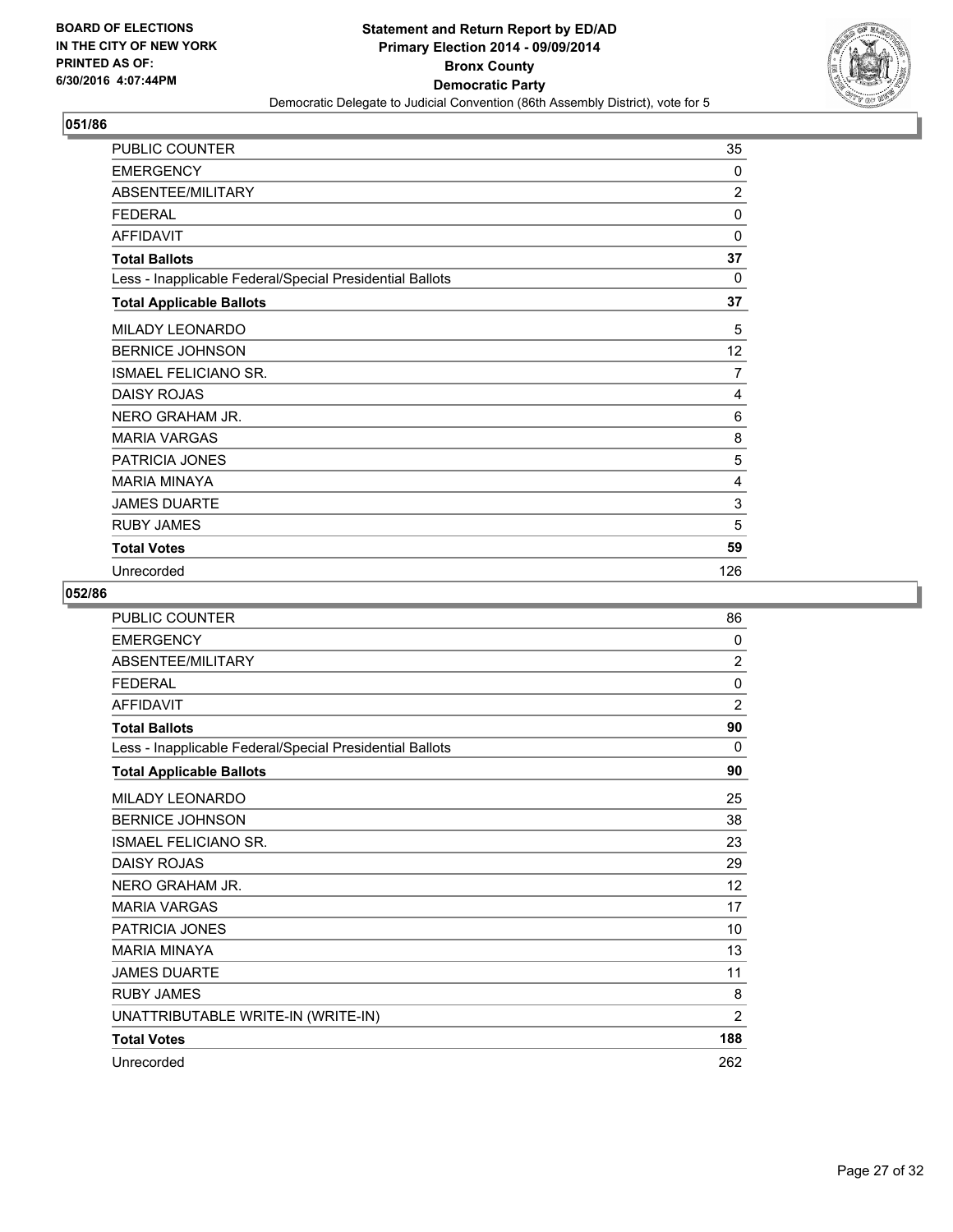

| PUBLIC COUNTER                                           | 35             |
|----------------------------------------------------------|----------------|
| <b>EMERGENCY</b>                                         | 0              |
| ABSENTEE/MILITARY                                        | $\overline{2}$ |
| <b>FEDERAL</b>                                           | $\Omega$       |
| <b>AFFIDAVIT</b>                                         | 0              |
| <b>Total Ballots</b>                                     | 37             |
| Less - Inapplicable Federal/Special Presidential Ballots | $\Omega$       |
| <b>Total Applicable Ballots</b>                          | 37             |
| MILADY LEONARDO                                          | 5              |
| <b>BERNICE JOHNSON</b>                                   | 12             |
| <b>ISMAEL FELICIANO SR.</b>                              | $\overline{7}$ |
| <b>DAISY ROJAS</b>                                       | 4              |
| NERO GRAHAM JR.                                          | 6              |
| <b>MARIA VARGAS</b>                                      | 8              |
| <b>PATRICIA JONES</b>                                    | 5              |
| <b>MARIA MINAYA</b>                                      | 4              |
| <b>JAMES DUARTE</b>                                      | 3              |
| <b>RUBY JAMES</b>                                        | 5              |
| <b>Total Votes</b>                                       | 59             |
| Unrecorded                                               | 126            |

| <b>PUBLIC COUNTER</b>                                    | 86             |
|----------------------------------------------------------|----------------|
| <b>EMERGENCY</b>                                         | $\mathbf{0}$   |
| ABSENTEE/MILITARY                                        | $\overline{2}$ |
| <b>FEDERAL</b>                                           | 0              |
| <b>AFFIDAVIT</b>                                         | $\overline{2}$ |
| <b>Total Ballots</b>                                     | 90             |
| Less - Inapplicable Federal/Special Presidential Ballots | 0              |
| <b>Total Applicable Ballots</b>                          | 90             |
| MILADY LEONARDO                                          | 25             |
| <b>BERNICE JOHNSON</b>                                   | 38             |
| <b>ISMAEL FELICIANO SR.</b>                              | 23             |
| <b>DAISY ROJAS</b>                                       | 29             |
| NERO GRAHAM JR.                                          | 12             |
| <b>MARIA VARGAS</b>                                      | 17             |
| PATRICIA JONES                                           | 10             |
| <b>MARIA MINAYA</b>                                      | 13             |
| <b>JAMES DUARTE</b>                                      | 11             |
| <b>RUBY JAMES</b>                                        | 8              |
| UNATTRIBUTABLE WRITE-IN (WRITE-IN)                       | $\overline{2}$ |
| <b>Total Votes</b>                                       | 188            |
| Unrecorded                                               | 262            |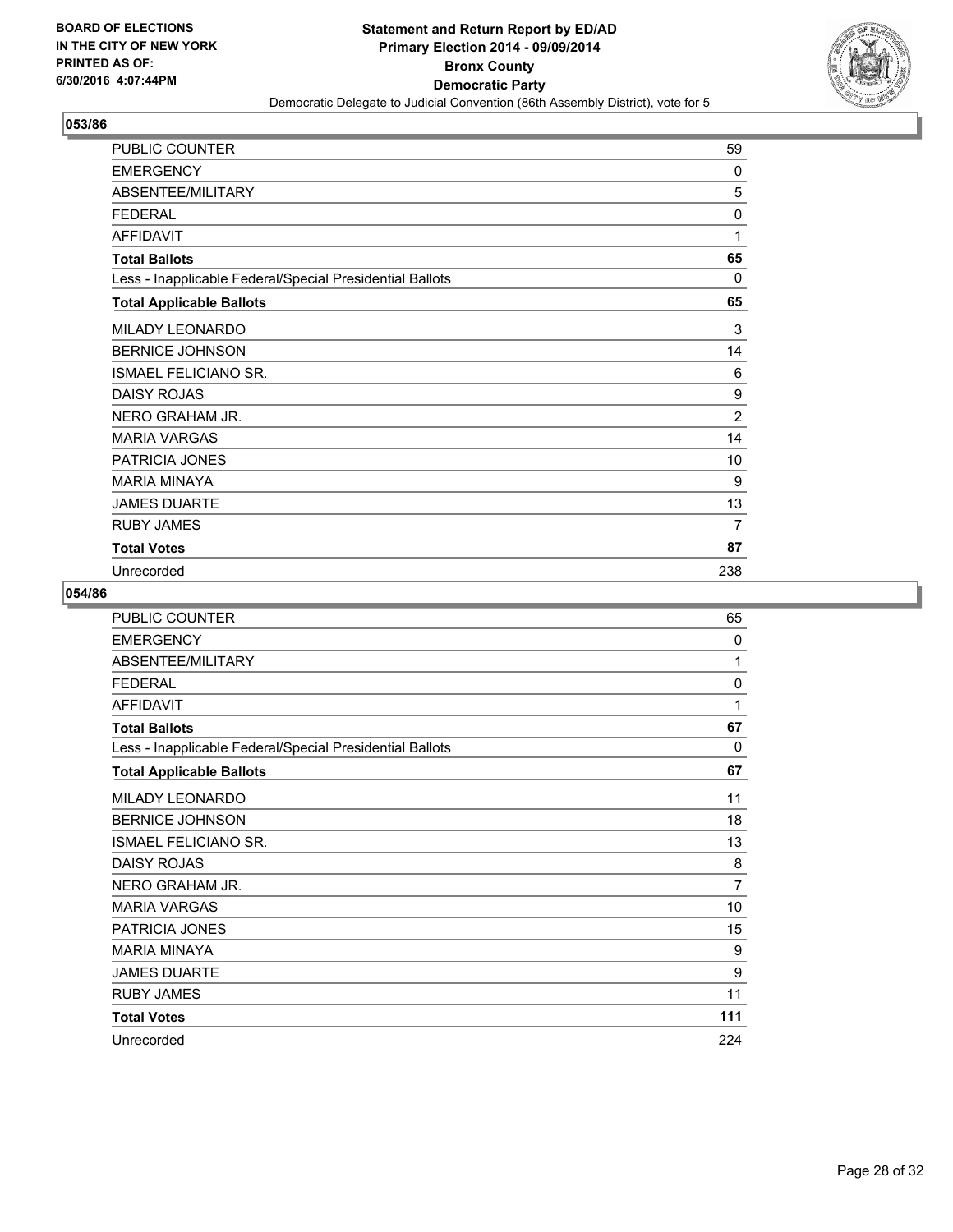

| <b>PUBLIC COUNTER</b>                                    | 59             |
|----------------------------------------------------------|----------------|
| <b>EMERGENCY</b>                                         | 0              |
| ABSENTEE/MILITARY                                        | 5              |
| <b>FEDERAL</b>                                           | $\Omega$       |
| <b>AFFIDAVIT</b>                                         | 1              |
| <b>Total Ballots</b>                                     | 65             |
| Less - Inapplicable Federal/Special Presidential Ballots | 0              |
| <b>Total Applicable Ballots</b>                          | 65             |
| MILADY LEONARDO                                          | 3              |
| <b>BERNICE JOHNSON</b>                                   | 14             |
| <b>ISMAEL FELICIANO SR.</b>                              | 6              |
| <b>DAISY ROJAS</b>                                       | 9              |
| NERO GRAHAM JR.                                          | $\overline{2}$ |
| <b>MARIA VARGAS</b>                                      | 14             |
| PATRICIA JONES                                           | 10             |
| <b>MARIA MINAYA</b>                                      | 9              |
| <b>JAMES DUARTE</b>                                      | 13             |
| <b>RUBY JAMES</b>                                        | 7              |
| <b>Total Votes</b>                                       | 87             |
| Unrecorded                                               | 238            |

| PUBLIC COUNTER                                           | 65  |
|----------------------------------------------------------|-----|
| <b>EMERGENCY</b>                                         | 0   |
| ABSENTEE/MILITARY                                        | 1   |
| <b>FEDERAL</b>                                           | 0   |
| <b>AFFIDAVIT</b>                                         | 1   |
| <b>Total Ballots</b>                                     | 67  |
| Less - Inapplicable Federal/Special Presidential Ballots | 0   |
| <b>Total Applicable Ballots</b>                          | 67  |
| <b>MILADY LEONARDO</b>                                   | 11  |
| <b>BERNICE JOHNSON</b>                                   | 18  |
| ISMAEL FELICIANO SR.                                     | 13  |
| <b>DAISY ROJAS</b>                                       | 8   |
| NERO GRAHAM JR.                                          | 7   |
| <b>MARIA VARGAS</b>                                      | 10  |
| <b>PATRICIA JONES</b>                                    | 15  |
| <b>MARIA MINAYA</b>                                      | 9   |
| <b>JAMES DUARTE</b>                                      | 9   |
| <b>RUBY JAMES</b>                                        | 11  |
| <b>Total Votes</b>                                       | 111 |
| Unrecorded                                               | 224 |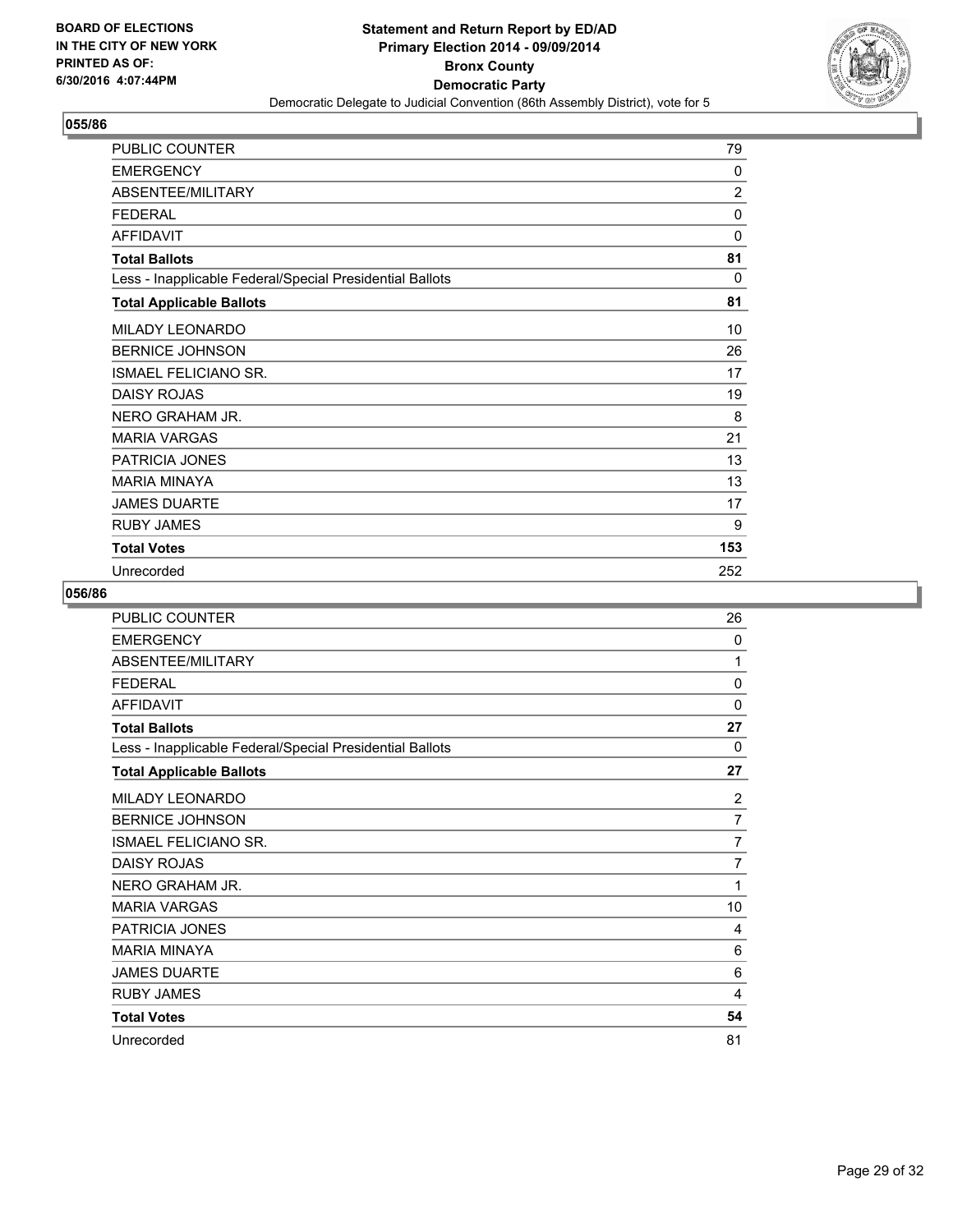

| PUBLIC COUNTER                                           | 79             |
|----------------------------------------------------------|----------------|
| <b>EMERGENCY</b>                                         | 0              |
| ABSENTEE/MILITARY                                        | $\overline{2}$ |
| <b>FEDERAL</b>                                           | 0              |
| <b>AFFIDAVIT</b>                                         | 0              |
| <b>Total Ballots</b>                                     | 81             |
| Less - Inapplicable Federal/Special Presidential Ballots | 0              |
| <b>Total Applicable Ballots</b>                          | 81             |
| MILADY LEONARDO                                          | 10             |
| <b>BERNICE JOHNSON</b>                                   | 26             |
| ISMAEL FELICIANO SR.                                     | 17             |
| <b>DAISY ROJAS</b>                                       | 19             |
| NERO GRAHAM JR.                                          | 8              |
| <b>MARIA VARGAS</b>                                      | 21             |
| <b>PATRICIA JONES</b>                                    | 13             |
| <b>MARIA MINAYA</b>                                      | 13             |
| <b>JAMES DUARTE</b>                                      | 17             |
| <b>RUBY JAMES</b>                                        | 9              |
| <b>Total Votes</b>                                       | 153            |
| Unrecorded                                               | 252            |

| PUBLIC COUNTER                                           | 26             |
|----------------------------------------------------------|----------------|
| <b>EMERGENCY</b>                                         | 0              |
| ABSENTEE/MILITARY                                        | 1              |
| <b>FEDERAL</b>                                           | 0              |
| <b>AFFIDAVIT</b>                                         | 0              |
| <b>Total Ballots</b>                                     | 27             |
| Less - Inapplicable Federal/Special Presidential Ballots | 0              |
| <b>Total Applicable Ballots</b>                          | 27             |
| <b>MILADY LEONARDO</b>                                   | 2              |
| <b>BERNICE JOHNSON</b>                                   | $\overline{7}$ |
| ISMAEL FELICIANO SR.                                     | 7              |
| <b>DAISY ROJAS</b>                                       | $\overline{7}$ |
| NERO GRAHAM JR.                                          | 1              |
| <b>MARIA VARGAS</b>                                      | 10             |
| <b>PATRICIA JONES</b>                                    | 4              |
| <b>MARIA MINAYA</b>                                      | 6              |
| <b>JAMES DUARTE</b>                                      | 6              |
| <b>RUBY JAMES</b>                                        | 4              |
| <b>Total Votes</b>                                       | 54             |
| Unrecorded                                               | 81             |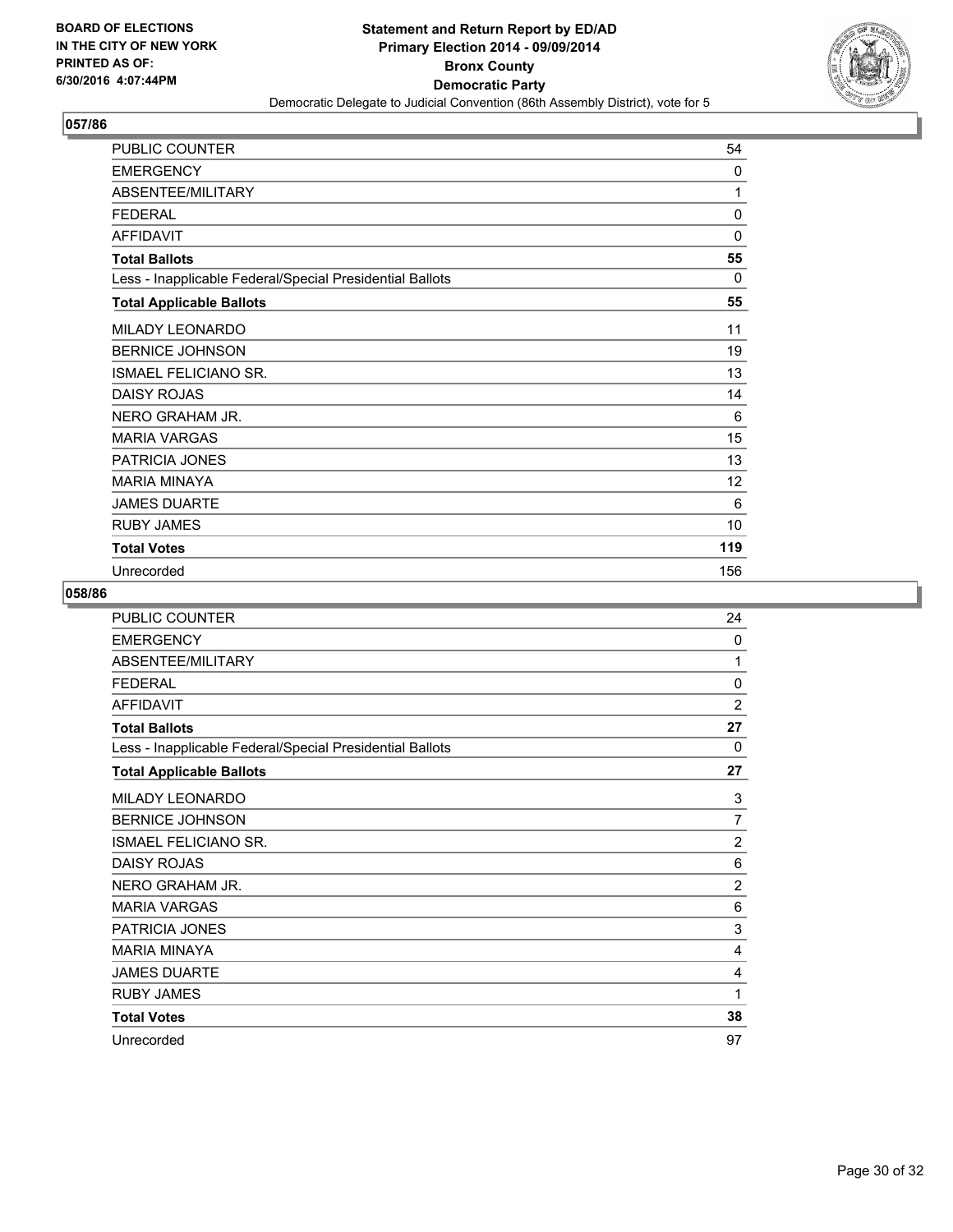

| PUBLIC COUNTER                                           | 54           |
|----------------------------------------------------------|--------------|
| <b>EMERGENCY</b>                                         | 0            |
| ABSENTEE/MILITARY                                        | 1            |
| <b>FEDERAL</b>                                           | $\mathbf{0}$ |
| <b>AFFIDAVIT</b>                                         | 0            |
| <b>Total Ballots</b>                                     | 55           |
| Less - Inapplicable Federal/Special Presidential Ballots | 0            |
| <b>Total Applicable Ballots</b>                          | 55           |
| MILADY LEONARDO                                          | 11           |
| <b>BERNICE JOHNSON</b>                                   | 19           |
| <b>ISMAEL FELICIANO SR.</b>                              | 13           |
| <b>DAISY ROJAS</b>                                       | 14           |
| NERO GRAHAM JR.                                          | 6            |
| <b>MARIA VARGAS</b>                                      | 15           |
| <b>PATRICIA JONES</b>                                    | 13           |
| <b>MARIA MINAYA</b>                                      | 12           |
| <b>JAMES DUARTE</b>                                      | 6            |
| <b>RUBY JAMES</b>                                        | 10           |
| <b>Total Votes</b>                                       | 119          |
| Unrecorded                                               | 156          |

| PUBLIC COUNTER                                           | 24             |
|----------------------------------------------------------|----------------|
| <b>EMERGENCY</b>                                         | 0              |
| ABSENTEE/MILITARY                                        | 1              |
| <b>FEDERAL</b>                                           | 0              |
| <b>AFFIDAVIT</b>                                         | $\overline{2}$ |
| <b>Total Ballots</b>                                     | 27             |
| Less - Inapplicable Federal/Special Presidential Ballots | 0              |
| <b>Total Applicable Ballots</b>                          | 27             |
| <b>MILADY LEONARDO</b>                                   | 3              |
| <b>BERNICE JOHNSON</b>                                   | 7              |
| ISMAEL FELICIANO SR.                                     | $\overline{2}$ |
| <b>DAISY ROJAS</b>                                       | 6              |
| NERO GRAHAM JR.                                          | $\overline{2}$ |
| <b>MARIA VARGAS</b>                                      | 6              |
| <b>PATRICIA JONES</b>                                    | 3              |
| <b>MARIA MINAYA</b>                                      | 4              |
| <b>JAMES DUARTE</b>                                      | 4              |
| <b>RUBY JAMES</b>                                        | 1              |
| <b>Total Votes</b>                                       | 38             |
| Unrecorded                                               | 97             |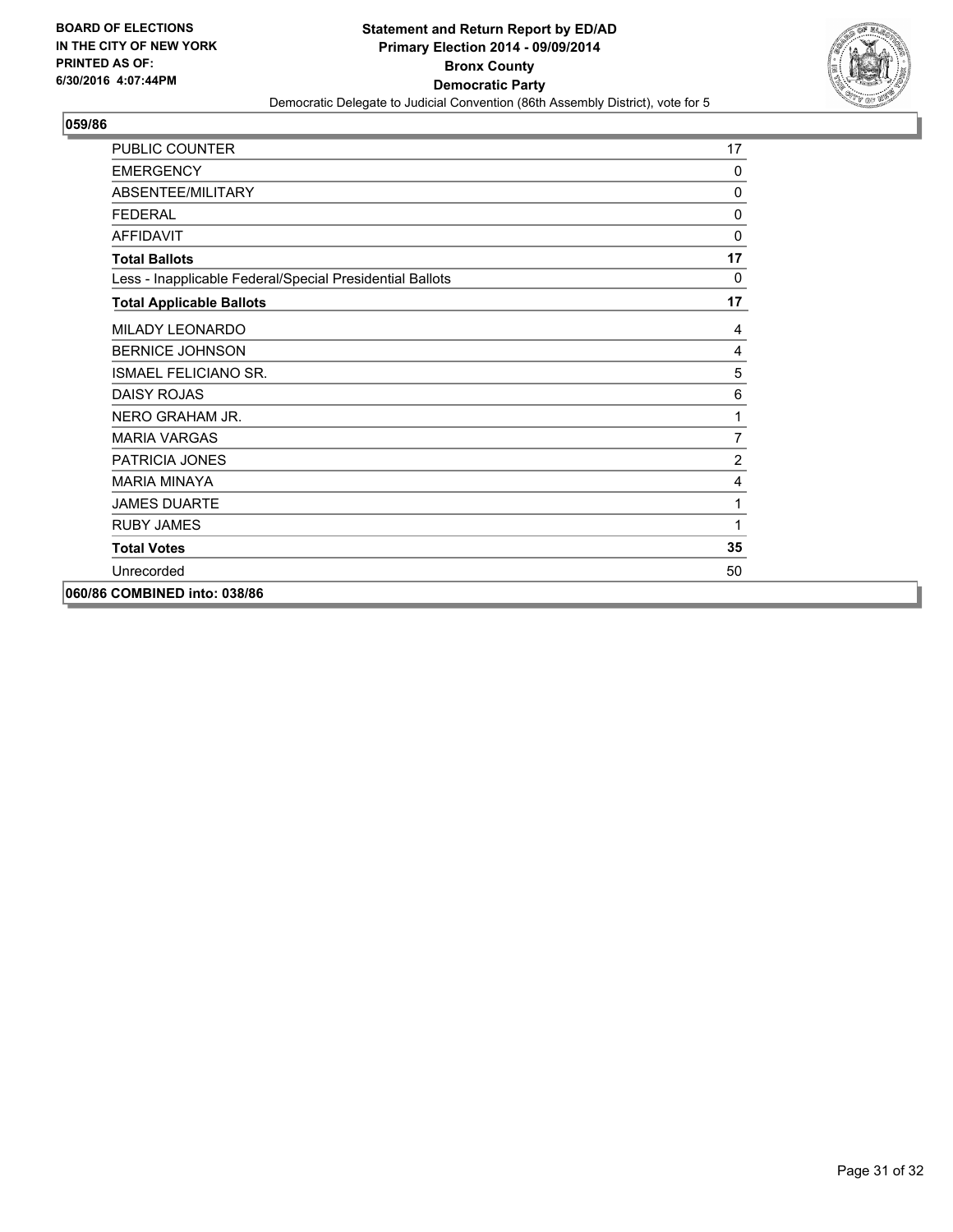

| PUBLIC COUNTER                                           | 17             |
|----------------------------------------------------------|----------------|
| <b>EMERGENCY</b>                                         | $\mathbf{0}$   |
| ABSENTEE/MILITARY                                        | 0              |
| <b>FFDFRAI</b>                                           | 0              |
| <b>AFFIDAVIT</b>                                         | $\mathbf 0$    |
| <b>Total Ballots</b>                                     | 17             |
| Less - Inapplicable Federal/Special Presidential Ballots | 0              |
| <b>Total Applicable Ballots</b>                          | 17             |
| MILADY LEONARDO                                          | 4              |
| <b>BERNICE JOHNSON</b>                                   | 4              |
| <b>ISMAEL FELICIANO SR.</b>                              | 5              |
| <b>DAISY ROJAS</b>                                       | 6              |
| NERO GRAHAM JR.                                          | 1              |
| <b>MARIA VARGAS</b>                                      | $\overline{7}$ |
| <b>PATRICIA JONES</b>                                    | $\overline{2}$ |
| <b>MARIA MINAYA</b>                                      | $\overline{4}$ |
| <b>JAMES DUARTE</b>                                      | 1              |
| <b>RUBY JAMES</b>                                        | 1              |
| <b>Total Votes</b>                                       | 35             |
| Unrecorded                                               | 50             |
| 060/86 COMBINED into: 038/86                             |                |